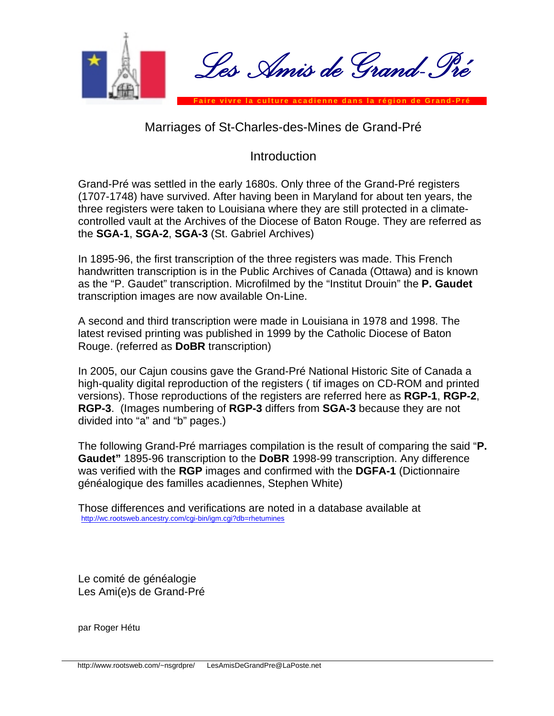

## Marriages of St-Charles-des-Mines de Grand-Pré

## **Introduction**

Grand-Pré was settled in the early 1680s. Only three of the Grand-Pré registers (1707-1748) have survived. After having been in Maryland for about ten years, the three registers were taken to Louisiana where they are still protected in a climatecontrolled vault at the Archives of the Diocese of Baton Rouge. They are referred as the **SGA-1**, **SGA-2**, **SGA-3** (St. Gabriel Archives)

In 1895-96, the first transcription of the three registers was made. This French handwritten transcription is in the Public Archives of Canada (Ottawa) and is known as the "P. Gaudet" transcription. Microfilmed by the "Institut Drouin" the **P. Gaudet** transcription images are now available On-Line.

A second and third transcription were made in Louisiana in 1978 and 1998. The latest revised printing was published in 1999 by the Catholic Diocese of Baton Rouge. (referred as **DoBR** transcription)

In 2005, our Cajun cousins gave the Grand-Pré National Historic Site of Canada a high-quality digital reproduction of the registers ( tif images on CD-ROM and printed versions). Those reproductions of the registers are referred here as **RGP-1**, **RGP-2**, **RGP-3**. (Images numbering of **RGP-3** differs from **SGA-3** because they are not divided into "a" and "b" pages.)

The following Grand-Pré marriages compilation is the result of comparing the said "**P. Gaudet"** 1895-96 transcription to the **DoBR** 1998-99 transcription. Any difference was verified with the **RGP** images and confirmed with the **DGFA-1** (Dictionnaire généalogique des familles acadiennes, Stephen White)

Those differences and verifications are noted in a database available at <http://wc.rootsweb.ancestry.com/cgi-bin/igm.cgi?db=rhetumines>

Le comité de généalogie Les Ami(e)s de Grand-Pré

par Roger Hétu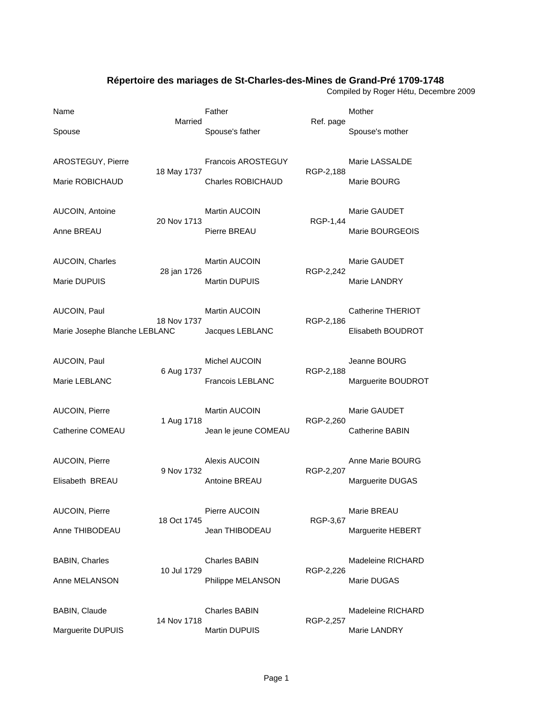## **Répertoire des mariages de St-Charles-des-Mines de Grand-Pré 1709-1748**

Compiled by Roger Hétu, Decembre 2009

| Name                          | Married     | Father                    |           | Mother             |
|-------------------------------|-------------|---------------------------|-----------|--------------------|
| Spouse                        |             | Spouse's father           | Ref. page | Spouse's mother    |
| AROSTEGUY, Pierre             | 18 May 1737 | <b>Francois AROSTEGUY</b> | RGP-2,188 | Marie LASSALDE     |
| Marie ROBICHAUD               |             | Charles ROBICHAUD         |           | Marie BOURG        |
| AUCOIN, Antoine               | 20 Nov 1713 | Martin AUCOIN             | RGP-1,44  | Marie GAUDET       |
| Anne BREAU                    |             | Pierre BREAU              |           | Marie BOURGEOIS    |
| AUCOIN, Charles               | 28 jan 1726 | Martin AUCOIN             | RGP-2,242 | Marie GAUDET       |
| Marie DUPUIS                  |             | <b>Martin DUPUIS</b>      |           | Marie LANDRY       |
| AUCOIN, Paul                  | 18 Nov 1737 | <b>Martin AUCOIN</b>      | RGP-2,186 | Catherine THERIOT  |
| Marie Josephe Blanche LEBLANC |             | Jacques LEBLANC           |           | Elisabeth BOUDROT  |
| AUCOIN, Paul                  | 6 Aug 1737  | Michel AUCOIN             | RGP-2,188 | Jeanne BOURG       |
| Marie LEBLANC                 |             | Francois LEBLANC          |           | Marguerite BOUDROT |
| AUCOIN, Pierre                | 1 Aug 1718  | <b>Martin AUCOIN</b>      | RGP-2,260 | Marie GAUDET       |
| Catherine COMEAU              |             | Jean le jeune COMEAU      |           | Catherine BABIN    |
| AUCOIN, Pierre                | 9 Nov 1732  | Alexis AUCOIN             | RGP-2,207 | Anne Marie BOURG   |
| Elisabeth BREAU               |             | Antoine BREAU             |           | Marguerite DUGAS   |
| AUCOIN, Pierre                | 18 Oct 1745 | Pierre AUCOIN             | RGP-3,67  | Marie BREAU        |
| Anne THIBODEAU                |             | Jean THIBODEAU            |           | Marguerite HEBERT  |
| <b>BABIN, Charles</b>         | 10 Jul 1729 | <b>Charles BABIN</b>      | RGP-2,226 | Madeleine RICHARD  |
| Anne MELANSON                 |             | Philippe MELANSON         |           | Marie DUGAS        |
| BABIN, Claude                 | 14 Nov 1718 | <b>Charles BABIN</b>      | RGP-2,257 | Madeleine RICHARD  |
| Marguerite DUPUIS             |             | Martin DUPUIS             |           | Marie LANDRY       |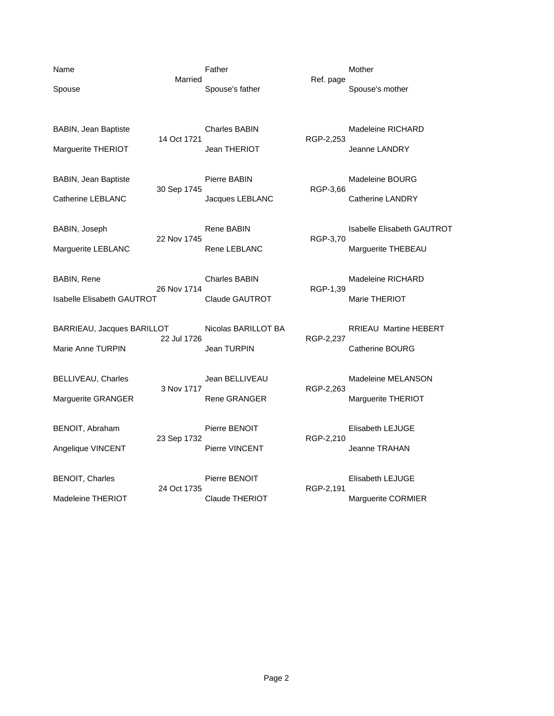Name **Name Father** Mother Mother Mother Married **Married** Ref. page Spouse Spouse's father Spouse's mother Spouse's mother Spouse's mother BABIN, Jean Baptiste **Charles BABIN** Madeleine RICHARD 14 Oct 1721 **RGP-2,253**<br>Jean THERIOT Marguerite THERIOT **Marguerite THERIOT** Jean THERIOT **Jeanne LANDRY** BABIN, Jean Baptiste **EXABIN**<br>30 Sep 1745 RGP-3,66 30 Sep 1745 Catherine LEBLANC Jacques LEBLANC Catherine LANDRY BABIN, Joseph **Rene BABIN** Rene BABIN Isabelle Elisabeth GAUTROT 22 Nov 1745 RGP-3,70 Marguerite LEBLANC **Rene LEBLANC** Rene CEBLANC Marguerite THEBEAU BABIN, Rene Charles BABIN Madeleine RICHARD 26 Nov 1714 RGP-1,39 Isabelle Elisabeth GAUTROT Claude GAUTROT Marie THERIOT BARRIEAU, Jacques BARILLOT Nicolas BARILLOT BA RRIEAU Martine HEBERT 22 Jul 1726 RGP-2,237 Marie Anne TURPIN **Jean TURPIN** Jean TURPIN Catherine BOURG BELLIVEAU, Charles **Jean BELLIVEAU** Madeleine MELANSON<br>3 Nov 1717 RGP-2,263 Marguerite GRANGER **Rene GRANGER** Marguerite THERIOT BENOIT, Abraham Pierre BENOIT<br>23 Sep 1732 RGP-2,210 23 Sep 1732 Angelique VINCENT Pierre VINCENT Premierre VINCENT Jeanne TRAHAN BENOIT, Charles **Pierre BENOIT** Elisabeth LEJUGE<br>24 Oct 1735 RGP-2,191 24 Oct 1735 Madeleine THERIOT Claude THERIOT Marguerite CORMIER

RGP-2,263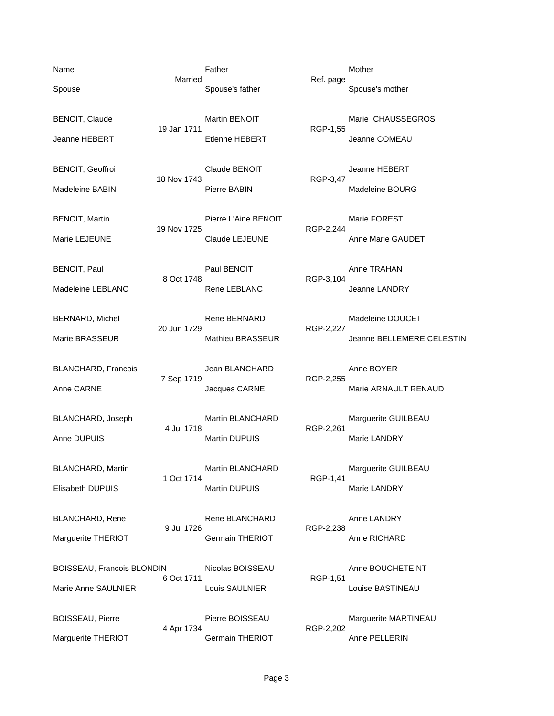BOISSEAU, Francois BLONDIN Nicolas BOISSEAU Anne BOUCHETEINT 6 Oct 1711 RGP-1,51 Marie Anne SAULNIER Louis SAULNIER LOUIS AULT Louise BASTINEAU

19 Nov 1725

7 Sep 1719

BOISSEAU, Pierre Pierre BOISSEAU Marguerite MARTINEAU 4 Apr 1734 RGP-2,202 Marguerite THERIOT **Germain THERIOT** Anne PELLERIN

Name **Name Father** Mother Mother Mother Married Ref. page Spouse Spouse's father Spouse's mother Spouse's mother Spouse's mother

BENOIT, Claude **Martin BENOIT** Martin BENOIT Martie CHAUSSEGROS 19 Jan 1711 RGP-1,55 Jeanne HEBERT Etienne HEBERT Jeanne COMEAU

BENOIT, Geoffroi **Claude BENOIT** Jeanne HEBERT 18 Nov 1743 RGP-3,47 Madeleine BABIN Pierre BABIN Madeleine BOURG

BENOIT, Martin Pierre L'Aine BENOIT Martin Premarie FOREST<br>19 Nov 1725 RGP-2,244 Marie LEJEUNE Claude LEJEUNE Claude LEJEUNE Anne Marie GAUDET

BENOIT, Paul **Paul BENOIT** Anne TRAHAN 8 Oct 1748 RGP-3,104 Madeleine LEBLANC **Rene LEBLANC** Rene LEBLANC Jeanne LANDRY

BERNARD, Michel **Rene BERNARD** Madeleine DOUCET 20 Jun 1729 RGP-2,227 Marie BRASSEUR Mathieu BRASSEUR Jeanne BELLEMERE CELESTIN

BLANCHARD, Francois Jean BLANCHARD Anne BOYER<br>7 Sep 1719 RGP-2,255 Anne CARNE GARNE Jacques CARNE Marie ARNAULT RENAUD

BLANCHARD, Joseph Martin BLANCHARD Martin BLANCHARD Marguerite GUILBEAU<br>4 Jul 1718 RGP-2.261 RGP-2,261 Anne DUPUIS **Martin DUPUIS** Martin DUPUIS Marie LANDRY

BLANCHARD, Martin **Martin Martin BLANCHARD** Marguerite GUILBEAU<br>1 Oct 1714 RGP-1.41 RGP-1,41 Elisabeth DUPUIS Martin DUPUIS Martin DUPUIS Marie LANDRY

BLANCHARD, Rene **Rene BLANCHARD** Anne LANDRY 9 Jul 1726 RGP-2,238 Marguerite THERIOT **Germain THERIOT** Anne RICHARD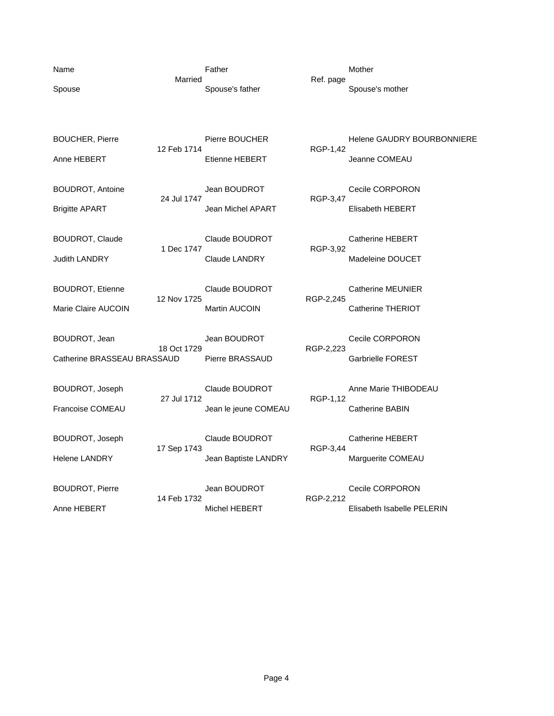| Name<br>Spouse                                   | Married     | Father<br>Spouse's father              | Ref. page | Mother<br>Spouse's mother                          |
|--------------------------------------------------|-------------|----------------------------------------|-----------|----------------------------------------------------|
| <b>BOUCHER, Pierre</b><br>Anne HEBERT            | 12 Feb 1714 | Pierre BOUCHER<br>Etienne HEBERT       | RGP-1,42  | <b>Helene GAUDRY BOURBONNIERE</b><br>Jeanne COMEAU |
| <b>BOUDROT, Antoine</b><br><b>Brigitte APART</b> | 24 Jul 1747 | Jean BOUDROT<br>Jean Michel APART      | RGP-3,47  | Cecile CORPORON<br>Elisabeth HEBERT                |
| <b>BOUDROT, Claude</b><br><b>Judith LANDRY</b>   | 1 Dec 1747  | Claude BOUDROT<br><b>Claude LANDRY</b> | RGP-3,92  | <b>Catherine HEBERT</b><br>Madeleine DOUCET        |
| <b>BOUDROT, Etienne</b><br>Marie Claire AUCOIN   | 12 Nov 1725 | Claude BOUDROT<br><b>Martin AUCOIN</b> | RGP-2,245 | <b>Catherine MEUNIER</b><br>Catherine THERIOT      |
| BOUDROT, Jean<br>Catherine BRASSEAU BRASSAUD     | 18 Oct 1729 | Jean BOUDROT<br>Pierre BRASSAUD        | RGP-2,223 | Cecile CORPORON<br>Garbrielle FOREST               |
| BOUDROT, Joseph<br><b>Francoise COMEAU</b>       | 27 Jul 1712 | Claude BOUDROT<br>Jean le jeune COMEAU | RGP-1,12  | Anne Marie THIBODEAU<br><b>Catherine BABIN</b>     |
| <b>BOUDROT, Joseph</b><br><b>Helene LANDRY</b>   | 17 Sep 1743 | Claude BOUDROT<br>Jean Baptiste LANDRY | RGP-3,44  | <b>Catherine HEBERT</b><br>Marguerite COMEAU       |
| <b>BOUDROT, Pierre</b><br>Anne HEBERT            | 14 Feb 1732 | Jean BOUDROT<br>Michel HEBERT          | RGP-2,212 | Cecile CORPORON<br>Elisabeth Isabelle PELERIN      |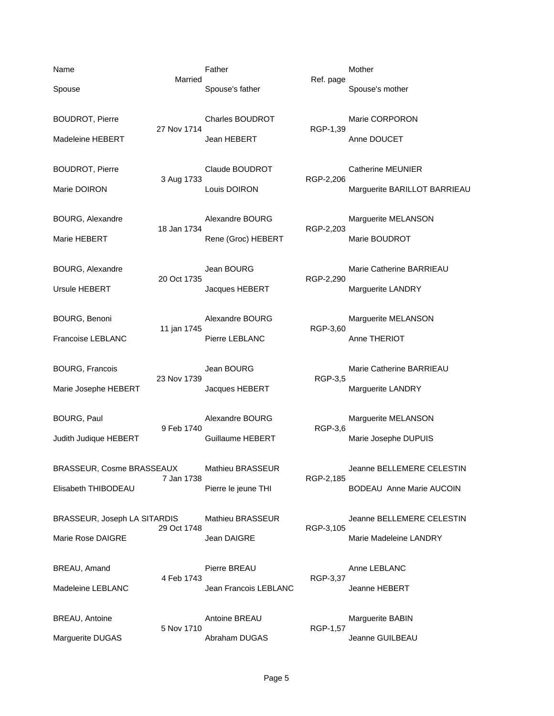23 Nov 1739

BOURG, Paul **Alexandre BOURG** Marguerite MELANSON<br>9 Feb 1740 RGP-3.6 9 Feb 1740 Judith Judique HEBERT **Guillaume HEBERT** Marie Josephe DUPUIS

3 Aug 1733

11 jan 1745

BRASSEUR, Cosme BRASSEAUX Mathieu BRASSEUR Jeanne BELLEMERE CELESTIN 7 Jan 1738 RGP-2,185 Elisabeth THIBODEAU **Pierre le jeune THI** BODEAU Anne Marie AUCOIN

BRASSEUR, Joseph LA SITARDIS Mathieu BRASSEUR Jeanne BELLEMERE CELESTIN 29 Oct 1748 RGP-3,105 Marie Rose DAIGRE **Marie Rose DAIGRE** Jean DAIGRE **Marie Madeleine LANDRY** 

Name **Name Father** Mother Mother Mother Married Ref. page Spouse Spouse's father Spouse's mother Spouse's mother Spouse's mother

BOUDROT, Pierre **Charles BOUDROT** Marie CORPORON 27 Nov 1714 RGP-1,39 Madeleine HEBERT Jean HEBERT Anne DOUCET

BOUDROT, Pierre Claude BOUDROT Catherine MEUNIER<br>3 Aug 1733 RGP-2,206 Marie DOIRON Louis DOIRON Marguerite BARILLOT BARRIEAU

BOURG, Alexandre **Alexandre BOURG** Marguerite MELANSON 18 Jan 1734 RGP-2,203 Marie HEBERT **Rene** (Groc) HEBERT Marie BOUDROT

BOURG, Alexandre 
and Bourse and Head Bourse and Marie Catherine BARRIEAU

BOURG and Marie Catherine BARRIEAU 20 Oct 1735 RGP-2,290 Ursule HEBERT **Marguerite LANDRY** Jacques HEBERT **Marguerite LANDRY** 

BOURG, Benoni **Alexandre BOURG** Marguerite MELANSON Marguerite MELANSON Francoise LEBLANC Pierre LEBLANC Anne THERIOT

BOURG, Francois Jean BOURG Marie Catherine BARRIEAU Marie Josephe HEBERT **Marie Josephe HEBERT** Jacques HEBERT **Marguerite LANDRY** 

BREAU, Amand **Annual Example 2** Pierre BREAU **Annual Annual LEBLANC** 4 Feb 1743 RGP-3,37 Madeleine LEBLANC Jean Francois LEBLANC Jeanne HEBERT

BREAU, Antoine **Antoine BREAU** Marguerite BABIN 5 Nov 1710 RGP-1,57 Marguerite DUGAS **Abraham DUGAS** Abraham DUGAS Jeanne GUILBEAU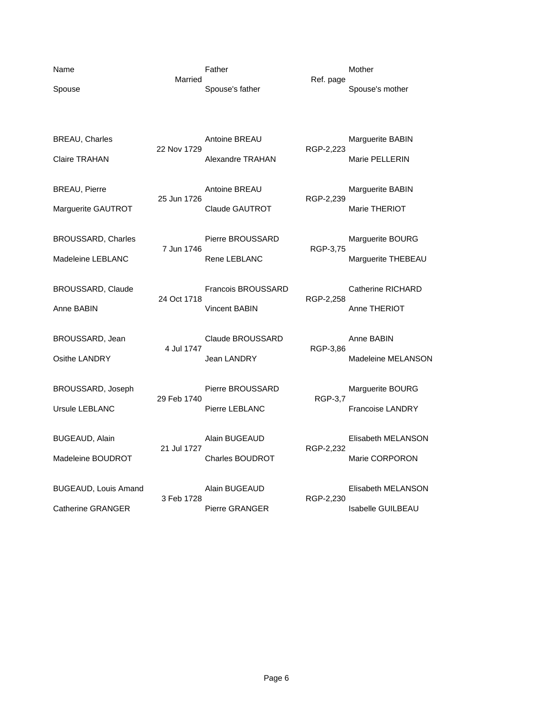| Name   |  |
|--------|--|
| Spouse |  |

Name **Name Father** Mother Mother Mother Married **Married** Ref. page

Spouse's father Spouse's mother

22 Nov 1729

25 Jun 1726 Marguerite GAUTROT **Claude GAUTROT** Marie THERIOT

BROUSSARD, Charles **Pierre BROUSSARD** Marguerite BOURG<br>
7 Jun 1746 RGP-3.75

BROUSSARD, Claude **Francois BROUSSARD** Catherine RICHARD 24 Oct 1718 RGP-2,258 Anne BABIN **Anne BABIN** Vincent BABIN Anne THERIOT

BROUSSARD, Jean Claude BROUSSARD Anne BABIN 4 Jul 1747 RGP-3,86

BROUSSARD, Joseph Pierre BROUSSARD Marguerite BOURG<br>
29 Feb 1740 RGP-3,7 29 Feb 1740 Ursule LEBLANC Pierre LEBLANC Francoise LANDRY

21 Jul 1727 RGP-2,232

3 Feb 1728

BREAU, Charles **Antoine BREAU** Marguerite BABIN<br>22 Nov 1729 RGP-2,223 Claire TRAHAN Alexandre TRAHAN Marie PELLERIN

BREAU, Pierre **Antoine BREAU** Marguerite BABIN<br>25 Jun 1726 metatra di personali di Paraguerite BABIN

RGP-3,75 Madeleine LEBLANC **Rene LEBLANC** Rene LEBLANC Marguerite THEBEAU

Osithe LANDRY **State LANDRY** Jean LANDRY Madeleine MELANSON

BUGEAUD, Alain Alain BUGEAUD Elisabeth MELANSON Madeleine BOUDROT Charles BOUDROT Marie CORPORON

BUGEAUD, Louis Amand **Alain BUGEAUD** Elisabeth MELANSON<br>3 Feb 1728 RGP-2,230 Catherine GRANGER **Pierre GRANGER** Pierre GRANGER Isabelle GUILBEAU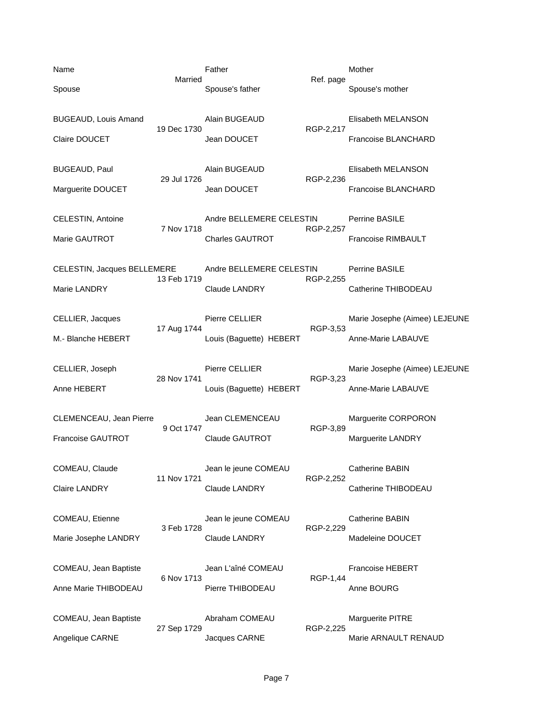| Name                        | Married     | Father                   | Ref. page | Mother                        |
|-----------------------------|-------------|--------------------------|-----------|-------------------------------|
| Spouse                      |             | Spouse's father          |           | Spouse's mother               |
| <b>BUGEAUD, Louis Amand</b> |             | Alain BUGEAUD            |           | Elisabeth MELANSON            |
| Claire DOUCET               | 19 Dec 1730 | Jean DOUCET              | RGP-2,217 | Francoise BLANCHARD           |
| <b>BUGEAUD, Paul</b>        |             | Alain BUGEAUD            |           | Elisabeth MELANSON            |
| Marguerite DOUCET           | 29 Jul 1726 | Jean DOUCET              | RGP-2,236 | Francoise BLANCHARD           |
| CELESTIN, Antoine           | 7 Nov 1718  | Andre BELLEMERE CELESTIN |           | Perrine BASILE                |
| Marie GAUTROT               |             | Charles GAUTROT          | RGP-2,257 | Francoise RIMBAULT            |
| CELESTIN, Jacques BELLEMERE | 13 Feb 1719 | Andre BELLEMERE CELESTIN |           | Perrine BASILE                |
| Marie LANDRY                |             | <b>Claude LANDRY</b>     | RGP-2,255 | Catherine THIBODEAU           |
| CELLIER, Jacques            | 17 Aug 1744 | Pierre CELLIER           | RGP-3,53  | Marie Josephe (Aimee) LEJEUNE |
| M.- Blanche HEBERT          |             | Louis (Baguette) HEBERT  |           | Anne-Marie LABAUVE            |
| CELLIER, Joseph             | 28 Nov 1741 | Pierre CELLIER           | RGP-3,23  | Marie Josephe (Aimee) LEJEUNE |
| Anne HEBERT                 |             | Louis (Baguette) HEBERT  |           | Anne-Marie LABAUVE            |
| CLEMENCEAU, Jean Pierre     | 9 Oct 1747  | Jean CLEMENCEAU          | RGP-3,89  | Marguerite CORPORON           |
| <b>Francoise GAUTROT</b>    |             | <b>Claude GAUTROT</b>    |           | Marguerite LANDRY             |
| COMEAU, Claude              | 11 Nov 1721 | Jean le jeune COMEAU     | RGP-2,252 | Catherine BABIN               |
| Claire LANDRY               |             | Claude LANDRY            |           | Catherine THIBODEAU           |
| COMEAU, Etienne             | 3 Feb 1728  | Jean le jeune COMEAU     | RGP-2,229 | Catherine BABIN               |
| Marie Josephe LANDRY        |             | Claude LANDRY            |           | Madeleine DOUCET              |
| COMEAU, Jean Baptiste       | 6 Nov 1713  | Jean L'aîné COMEAU       | RGP-1,44  | <b>Francoise HEBERT</b>       |
| Anne Marie THIBODEAU        |             | Pierre THIBODEAU         |           | Anne BOURG                    |
| COMEAU, Jean Baptiste       | 27 Sep 1729 | Abraham COMEAU           | RGP-2,225 | Marguerite PITRE              |
| Angelique CARNE             |             | Jacques CARNE            |           | Marie ARNAULT RENAUD          |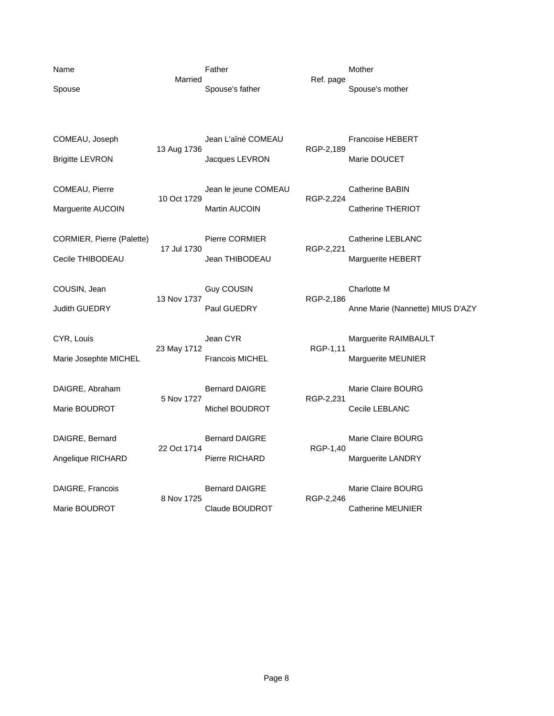| Name<br>Spouse                                | Married     | Father<br>Spouse's father                    | Ref. page | Mother<br>Spouse's mother                       |
|-----------------------------------------------|-------------|----------------------------------------------|-----------|-------------------------------------------------|
| COMEAU, Joseph<br><b>Brigitte LEVRON</b>      | 13 Aug 1736 | Jean L'aîné COMEAU<br>Jacques LEVRON         | RGP-2,189 | Francoise HEBERT<br>Marie DOUCET                |
| COMEAU, Pierre<br>Marguerite AUCOIN           | 10 Oct 1729 | Jean le jeune COMEAU<br><b>Martin AUCOIN</b> | RGP-2,224 | <b>Catherine BABIN</b><br>Catherine THERIOT     |
| CORMIER, Pierre (Palette)<br>Cecile THIBODEAU | 17 Jul 1730 | Pierre CORMIER<br>Jean THIBODEAU             | RGP-2,221 | Catherine LEBLANC<br>Marguerite HEBERT          |
| COUSIN, Jean<br>Judith GUEDRY                 | 13 Nov 1737 | <b>Guy COUSIN</b><br>Paul GUEDRY             | RGP-2,186 | Charlotte M<br>Anne Marie (Nannette) MIUS D'AZY |
| CYR, Louis<br>Marie Josephte MICHEL           | 23 May 1712 | Jean CYR<br><b>Francois MICHEL</b>           | RGP-1,11  | Marguerite RAIMBAULT<br>Marguerite MEUNIER      |
| DAIGRE, Abraham<br>Marie BOUDROT              | 5 Nov 1727  | <b>Bernard DAIGRE</b><br>Michel BOUDROT      | RGP-2,231 | Marie Claire BOURG<br>Cecile LEBLANC            |
| DAIGRE, Bernard<br>Angelique RICHARD          | 22 Oct 1714 | <b>Bernard DAIGRE</b><br>Pierre RICHARD      | RGP-1,40  | Marie Claire BOURG<br>Marguerite LANDRY         |
| DAIGRE, Francois<br>Marie BOUDROT             | 8 Nov 1725  | <b>Bernard DAIGRE</b><br>Claude BOUDROT      | RGP-2,246 | Marie Claire BOURG<br><b>Catherine MEUNIER</b>  |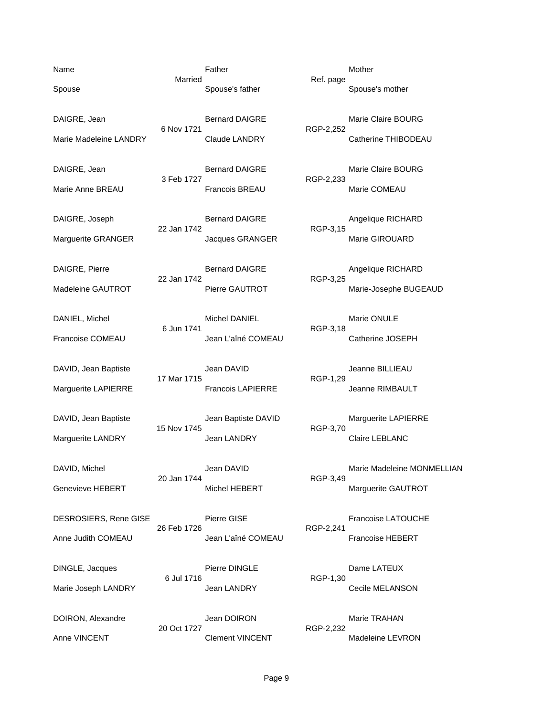Name **Name Father** Mother Mother Mother Married Ref. page Spouse Spouse's father Spouse's mother Spouse's mother Spouse's mother DAIGRE, Jean **Bernard DAIGRE** Marie Claire BOURG Marie Claire BOURG 6 Nov 1721 RGP-2,252 Marie Madeleine LANDRY Claude LANDRY Claude LANDRY Catherine THIBODEAU DAIGRE, Jean **Bernard DAIGRE** Marie Claire BOURG 3 Feb 1727 RGP-2,233 Marie Anne BREAU Francois BREAU Marie COMEAU DAIGRE, Joseph Bernard DAIGRE Angelique RICHARD 22 Jan 1742 RGP-3,15 Marguerite GRANGER **All Strategier CRANGER** Marie GIROUARD DAIGRE, Pierre **Bernard DAIGRE** Angelique RICHARD Angelique RICHARD 22 Jan 1742 RGP-3,25 Madeleine GAUTROT **Pierre GAUTROT** Marie-Josephe BUGEAUD DANIEL, Michel Michel Michel DANIEL Marie ONULE 6 Jun 1741 RGP-3,18 Francoise COMEAU Jean L'aîné COMEAU Catherine JOSEPH DAVID, Jean Baptiste Jean DAVID Jeanne BILLIEAU 17 Mar 1715 Marguerite LAPIERRE Francois LAPIERRE Jeanne RIMBAULT DAVID, Jean Baptiste Jean Baptiste DAVID Marguerite LAPIERRE 15 Nov 1745 RGP-3,70 Marguerite LANDRY **Claire LEBLANC** Jean LANDRY **Claire LEBLANC** DAVID, Michel **DAVID** Jean DAVID **Marie Madeleine MONMELLIAN** 20 Jan 1744 RGP-3,49 Genevieve HEBERT Michel HEBERT Michel HEBERT Marguerite GAUTROT DESROSIERS, Rene GISE Pierre GISE Pierre GISE Francoise LATOUCHE 26 Feb 1726 RGP-2,241 Anne Judith COMEAU Jean L'aîné COMEAU Francoise HEBERT DINGLE, Jacques **Pierre DINGLE Dame LATEUX** 6 Jul 1716 RGP-1,30 Marie Joseph LANDRY **State State State State State Accept ACC** Cecile MELANSON DOIRON, Alexandre Jean DOIRON Marie TRAHAN 20 Oct 1727 RGP-2,232 Anne VINCENT Clement VINCENT Madeleine LEVRON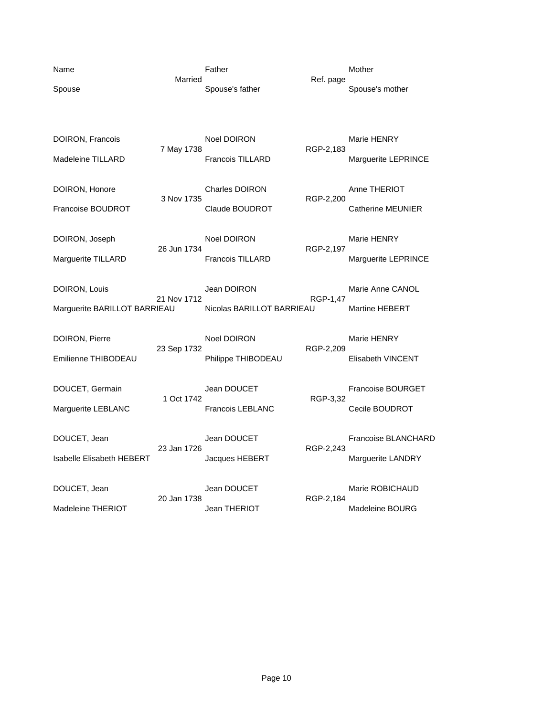| Name                             |             | Father                    |           | Mother                   |
|----------------------------------|-------------|---------------------------|-----------|--------------------------|
| Spouse                           | Married     | Spouse's father           | Ref. page | Spouse's mother          |
|                                  |             |                           |           |                          |
|                                  |             |                           |           |                          |
| DOIRON, Francois                 | 7 May 1738  | <b>Noel DOIRON</b>        | RGP-2,183 | Marie HENRY              |
| <b>Madeleine TILLARD</b>         |             | <b>Francois TILLARD</b>   |           | Marguerite LEPRINCE      |
| DOIRON, Honore                   |             | <b>Charles DOIRON</b>     |           | Anne THERIOT             |
|                                  | 3 Nov 1735  |                           | RGP-2,200 |                          |
| Francoise BOUDROT                |             | Claude BOUDROT            |           | <b>Catherine MEUNIER</b> |
| DOIRON, Joseph                   |             | Noel DOIRON               |           | Marie HENRY              |
| Marguerite TILLARD               | 26 Jun 1734 | <b>Francois TILLARD</b>   | RGP-2,197 | Marguerite LEPRINCE      |
|                                  |             |                           |           |                          |
| DOIRON, Louis                    |             | Jean DOIRON               |           | Marie Anne CANOL         |
| Marguerite BARILLOT BARRIEAU     | 21 Nov 1712 | Nicolas BARILLOT BARRIEAU | RGP-1,47  | <b>Martine HEBERT</b>    |
|                                  |             |                           |           |                          |
| DOIRON, Pierre                   | 23 Sep 1732 | Noel DOIRON               | RGP-2,209 | Marie HENRY              |
| Emilienne THIBODEAU              |             | Philippe THIBODEAU        |           | <b>Elisabeth VINCENT</b> |
|                                  |             |                           |           |                          |
| DOUCET, Germain                  | 1 Oct 1742  | Jean DOUCET               | RGP-3,32  | <b>Francoise BOURGET</b> |
| Marguerite LEBLANC               |             | <b>Francois LEBLANC</b>   |           | Cecile BOUDROT           |
|                                  |             |                           |           |                          |
| DOUCET, Jean                     | 23 Jan 1726 | Jean DOUCET               | RGP-2,243 | Francoise BLANCHARD      |
| <b>Isabelle Elisabeth HEBERT</b> |             | Jacques HEBERT            |           | <b>Marguerite LANDRY</b> |
| DOUCET, Jean                     |             | Jean DOUCET               |           | Marie ROBICHAUD          |
|                                  | 20 Jan 1738 |                           | RGP-2,184 |                          |
| Madeleine THERIOT                |             | Jean THERIOT              |           | Madeleine BOURG          |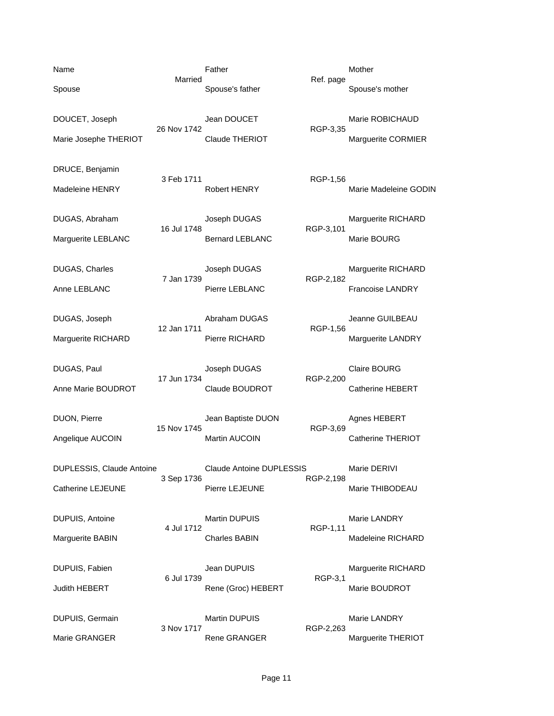| Name                                           | Married     | Father                                     |           | Mother                                         |
|------------------------------------------------|-------------|--------------------------------------------|-----------|------------------------------------------------|
| Spouse                                         |             | Spouse's father                            | Ref. page | Spouse's mother                                |
| DOUCET, Joseph<br>Marie Josephe THERIOT        | 26 Nov 1742 | Jean DOUCET<br>Claude THERIOT              | RGP-3,35  | Marie ROBICHAUD<br>Marguerite CORMIER          |
| DRUCE, Benjamin<br>Madeleine HENRY             | 3 Feb 1711  | <b>Robert HENRY</b>                        | RGP-1,56  | Marie Madeleine GODIN                          |
| DUGAS, Abraham<br>Marguerite LEBLANC           | 16 Jul 1748 | Joseph DUGAS<br><b>Bernard LEBLANC</b>     | RGP-3,101 | Marguerite RICHARD<br>Marie BOURG              |
| DUGAS, Charles<br>Anne LEBLANC                 | 7 Jan 1739  | Joseph DUGAS<br>Pierre LEBLANC             | RGP-2,182 | Marguerite RICHARD<br>Francoise LANDRY         |
| DUGAS, Joseph<br>Marguerite RICHARD            | 12 Jan 1711 | Abraham DUGAS<br>Pierre RICHARD            | RGP-1,56  | Jeanne GUILBEAU<br>Marguerite LANDRY           |
| DUGAS, Paul<br>Anne Marie BOUDROT              | 17 Jun 1734 | Joseph DUGAS<br>Claude BOUDROT             | RGP-2,200 | <b>Claire BOURG</b><br><b>Catherine HEBERT</b> |
| DUON, Pierre<br>Angelique AUCOIN               | 15 Nov 1745 | Jean Baptiste DUON<br><b>Martin AUCOIN</b> | RGP-3,69  | Agnes HEBERT<br>Catherine THERIOT              |
| DUPLESSIS, Claude Antoine<br>Catherine LEJEUNE | 3 Sep 1736  | Claude Antoine DUPLESSIS<br>Pierre LEJEUNE | RGP-2,198 | Marie DERIVI<br>Marie THIBODEAU                |
| DUPUIS, Antoine<br>Marguerite BABIN            | 4 Jul 1712  | Martin DUPUIS<br><b>Charles BABIN</b>      | RGP-1,11  | Marie LANDRY<br>Madeleine RICHARD              |
| DUPUIS, Fabien<br>Judith HEBERT                | 6 Jul 1739  | Jean DUPUIS<br>Rene (Groc) HEBERT          | RGP-3,1   | Marguerite RICHARD<br>Marie BOUDROT            |
| DUPUIS, Germain<br>Marie GRANGER               | 3 Nov 1717  | <b>Martin DUPUIS</b><br>Rene GRANGER       | RGP-2,263 | Marie LANDRY<br>Marguerite THERIOT             |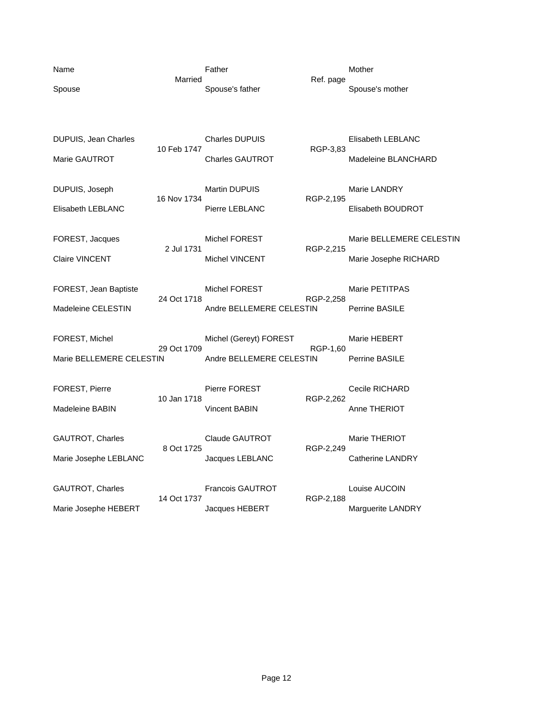| Name                        | Married     | Father                   |           | Mother                   |
|-----------------------------|-------------|--------------------------|-----------|--------------------------|
| Spouse                      |             | Spouse's father          | Ref. page | Spouse's mother          |
|                             |             |                          |           |                          |
|                             |             |                          |           |                          |
| <b>DUPUIS, Jean Charles</b> | 10 Feb 1747 | <b>Charles DUPUIS</b>    | RGP-3,83  | Elisabeth LEBLANC        |
| Marie GAUTROT               |             | <b>Charles GAUTROT</b>   |           | Madeleine BLANCHARD      |
|                             |             |                          |           |                          |
| DUPUIS, Joseph              | 16 Nov 1734 | <b>Martin DUPUIS</b>     | RGP-2,195 | Marie LANDRY             |
| Elisabeth LEBLANC           |             | Pierre LEBLANC           |           | Elisabeth BOUDROT        |
| FOREST, Jacques             |             | <b>Michel FOREST</b>     |           | Marie BELLEMERE CELESTIN |
|                             | 2 Jul 1731  |                          | RGP-2,215 |                          |
| <b>Claire VINCENT</b>       |             | <b>Michel VINCENT</b>    |           | Marie Josephe RICHARD    |
| FOREST, Jean Baptiste       |             | <b>Michel FOREST</b>     |           | Marie PETITPAS           |
|                             | 24 Oct 1718 |                          | RGP-2,258 |                          |
| Madeleine CELESTIN          |             | Andre BELLEMERE CELESTIN |           | Perrine BASILE           |
| FOREST, Michel              |             | Michel (Gereyt) FOREST   |           | Marie HEBERT             |
| Marie BELLEMERE CELESTIN    | 29 Oct 1709 | Andre BELLEMERE CELESTIN | RGP-1,60  | Perrine BASILE           |
|                             |             |                          |           |                          |
| FOREST, Pierre              |             | Pierre FOREST            |           | Cecile RICHARD           |
| <b>Madeleine BABIN</b>      | 10 Jan 1718 | <b>Vincent BABIN</b>     | RGP-2,262 | Anne THERIOT             |
|                             |             |                          |           |                          |
| GAUTROT, Charles            | 8 Oct 1725  | <b>Claude GAUTROT</b>    |           | Marie THERIOT            |
| Marie Josephe LEBLANC       |             | Jacques LEBLANC          | RGP-2,249 | <b>Catherine LANDRY</b>  |
|                             |             |                          |           |                          |
| GAUTROT, Charles            | 14 Oct 1737 | <b>Francois GAUTROT</b>  | RGP-2,188 | Louise AUCOIN            |
| Marie Josephe HEBERT        |             | Jacques HEBERT           |           | Marguerite LANDRY        |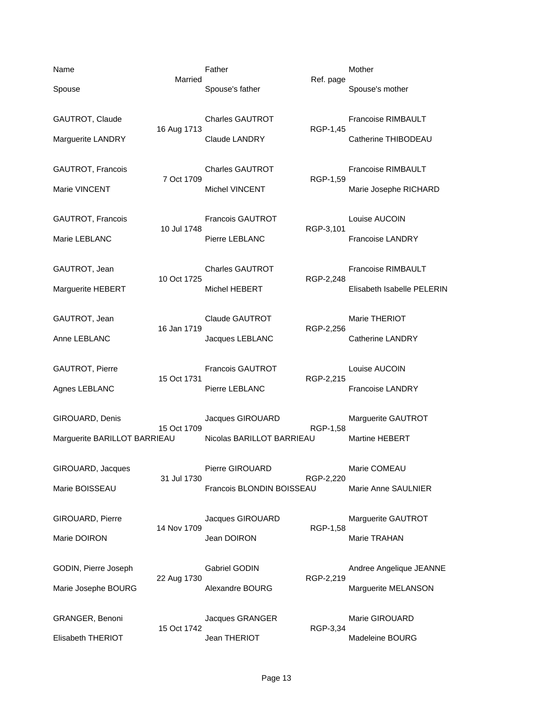| Name                         |             | Father                    |           | Mother                     |
|------------------------------|-------------|---------------------------|-----------|----------------------------|
| Spouse                       | Married     | Spouse's father           | Ref. page | Spouse's mother            |
| GAUTROT, Claude              | 16 Aug 1713 | <b>Charles GAUTROT</b>    | RGP-1,45  | Francoise RIMBAULT         |
| Marguerite LANDRY            |             | <b>Claude LANDRY</b>      |           | Catherine THIBODEAU        |
| GAUTROT, Francois            | 7 Oct 1709  | <b>Charles GAUTROT</b>    |           | Francoise RIMBAULT         |
| Marie VINCENT                |             | <b>Michel VINCENT</b>     | RGP-1,59  | Marie Josephe RICHARD      |
| GAUTROT, Francois            |             | <b>Francois GAUTROT</b>   |           | Louise AUCOIN              |
| Marie LEBLANC                | 10 Jul 1748 | Pierre LEBLANC            | RGP-3,101 | <b>Francoise LANDRY</b>    |
| GAUTROT, Jean                |             | <b>Charles GAUTROT</b>    |           | <b>Francoise RIMBAULT</b>  |
| Marguerite HEBERT            | 10 Oct 1725 | Michel HEBERT             | RGP-2,248 | Elisabeth Isabelle PELERIN |
| GAUTROT, Jean                |             | <b>Claude GAUTROT</b>     |           | Marie THERIOT              |
| Anne LEBLANC                 | 16 Jan 1719 | Jacques LEBLANC           | RGP-2,256 | Catherine LANDRY           |
| GAUTROT, Pierre              |             | Francois GAUTROT          |           | Louise AUCOIN              |
| Agnes LEBLANC                | 15 Oct 1731 | Pierre LEBLANC            | RGP-2,215 | <b>Francoise LANDRY</b>    |
| GIROUARD, Denis              |             | Jacques GIROUARD          |           | Marguerite GAUTROT         |
| Marguerite BARILLOT BARRIEAU | 15 Oct 1709 | Nicolas BARILLOT BARRIEAU | RGP-1,58  | <b>Martine HEBERT</b>      |
| GIROUARD, Jacques            |             | Pierre GIROUARD           |           | Marie COMEAU               |
| Marie BOISSEAU               | 31 Jul 1730 | Francois BLONDIN BOISSEAU | RGP-2,220 | Marie Anne SAULNIER        |
| GIROUARD, Pierre             |             | Jacques GIROUARD          |           | Marguerite GAUTROT         |
| Marie DOIRON                 | 14 Nov 1709 | Jean DOIRON               | RGP-1,58  | Marie TRAHAN               |
| GODIN, Pierre Joseph         |             | Gabriel GODIN             |           | Andree Angelique JEANNE    |
| Marie Josephe BOURG          | 22 Aug 1730 | Alexandre BOURG           | RGP-2,219 | Marguerite MELANSON        |
| GRANGER, Benoni              |             | Jacques GRANGER           |           | Marie GIROUARD             |
| Elisabeth THERIOT            | 15 Oct 1742 | Jean THERIOT              | RGP-3,34  | Madeleine BOURG            |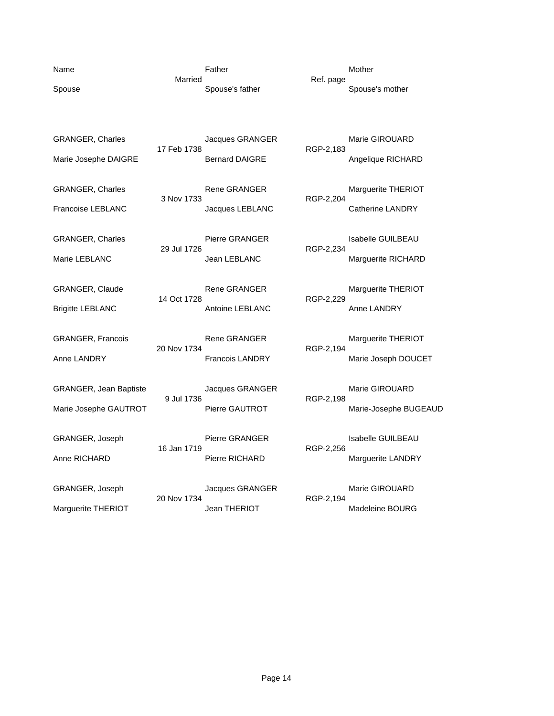| Name                     | Married     | Father                 | Ref. page | Mother<br>Spouse's mother |
|--------------------------|-------------|------------------------|-----------|---------------------------|
| Spouse                   |             | Spouse's father        |           |                           |
|                          |             |                        |           |                           |
| <b>GRANGER, Charles</b>  | 17 Feb 1738 | Jacques GRANGER        | RGP-2,183 | Marie GIROUARD            |
| Marie Josephe DAIGRE     |             | <b>Bernard DAIGRE</b>  |           | Angelique RICHARD         |
| <b>GRANGER, Charles</b>  |             | <b>Rene GRANGER</b>    |           | Marguerite THERIOT        |
| <b>Francoise LEBLANC</b> | 3 Nov 1733  | Jacques LEBLANC        | RGP-2,204 | <b>Catherine LANDRY</b>   |
| <b>GRANGER, Charles</b>  |             | Pierre GRANGER         |           | <b>Isabelle GUILBEAU</b>  |
| Marie LEBLANC            | 29 Jul 1726 | Jean LEBLANC           | RGP-2,234 | Marguerite RICHARD        |
| <b>GRANGER, Claude</b>   |             | Rene GRANGER           |           | Marguerite THERIOT        |
| <b>Brigitte LEBLANC</b>  | 14 Oct 1728 | Antoine LEBLANC        | RGP-2,229 | Anne LANDRY               |
|                          |             |                        |           |                           |
| GRANGER, Francois        | 20 Nov 1734 | Rene GRANGER           | RGP-2,194 | Marguerite THERIOT        |
| Anne LANDRY              |             | <b>Francois LANDRY</b> |           | Marie Joseph DOUCET       |
| GRANGER, Jean Baptiste   |             | Jacques GRANGER        |           | Marie GIROUARD            |
| Marie Josephe GAUTROT    | 9 Jul 1736  | Pierre GAUTROT         | RGP-2,198 | Marie-Josephe BUGEAUD     |
| GRANGER, Joseph          |             | Pierre GRANGER         |           | <b>Isabelle GUILBEAU</b>  |
|                          | 16 Jan 1719 | Pierre RICHARD         | RGP-2,256 |                           |
| Anne RICHARD             |             |                        |           | Marguerite LANDRY         |
| GRANGER, Joseph          |             | Jacques GRANGER        |           | Marie GIROUARD            |
| Marguerite THERIOT       | 20 Nov 1734 | <b>Jean THERIOT</b>    | RGP-2,194 | Madeleine BOURG           |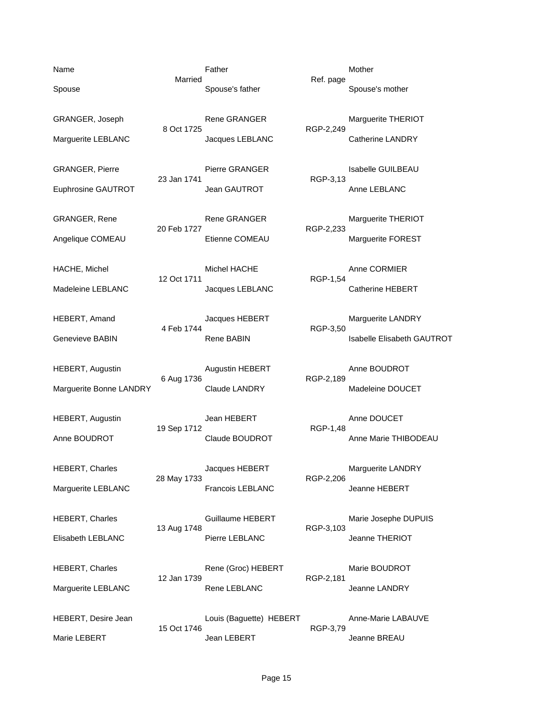GRANGER, Pierre **Example 23** Jan 1741 Pierre GRANGER Funders and RGP-3.13 Euphrosine GAUTROT Jean GAUTROT Anne LEBLANC

Name **Name Father** Mother Mother Mother Married Ref. page

8 Oct 1725 RGP-2,249

23 Jan 1741

GRANGER, Rene **Rene GRANGER** Marguerite THERIOT 20 Feb 1727 RGP-2,233

HACHE, Michel **Anne CORMIER** Michel HACHE Anne CORMIER 12 Oct 1711 RGP-1,54 Madeleine LEBLANC Jacques LEBLANC Catherine HEBERT

4 Feb 1744

HEBERT, Augustin **Augustin Augustin HEBERT** Anne BOUDROT<br>6 Aug 1736 RGP-2,189 6 Aug 1736 Marguerite Bonne LANDRY Claude LANDRY Claude LANDRY Madeleine DOUCET

HEBERT, Augustin Jean HEBERT Anne DOUCET 19 Sep 1712

HEBERT, Charles **Marguerite LANDRY** Jacques HEBERT Marguerite LANDRY 28 May 1733 RGP-2,206 Marguerite LEBLANC Francois LEBLANC Francois LEBLANC Jeanne HEBERT

13 Aug 1748 RGP-3,103 Elisabeth LEBLANC Pierre LEBLANC Jeanne THERIOT

12 Jan 1739 RGP-2,181 Marguerite LEBLANC **Rene LEBLANC** Rene LEBLANC **Rene LEBLANC** Jeanne LANDRY

HEBERT, Desire Jean **Louis (Baguette) HEBERT** Anne-Marie LABAUVE

15 Oct 1746 RGP-3,79 Marie LEBERT GEREAU CHERT Jean LEBERT SAND HEATH Jeanne BREAU

Spouse Spouse's father Spouse's mother Spouse's mother Spouse's mother

GRANGER, Joseph **Rene GRANGER** Marguerite THERIOT Marguerite LEBLANC **Marguerite LEBLANC** Jacques LEBLANC **Catherine LANDRY** 

Angelique COMEAU Etienne COMEAU Marguerite FOREST

HEBERT, Amand **Alternation State State State State State State State State State State State State State State State State State State State State State State State State State State State State State State State State Sta** Genevieve BABIN **Rene BABIN** Rene BABIN Isabelle Elisabeth GAUTROT

Anne BOUDROT Claude BOUDROT Anne Marie THIBODEAU

HEBERT, Charles **Marie Strutter Constructed Guillaume HEBERT** Marie Josephe DUPUIS

HEBERT, Charles **Rene (Groc) HEBERT** Marie BOUDROT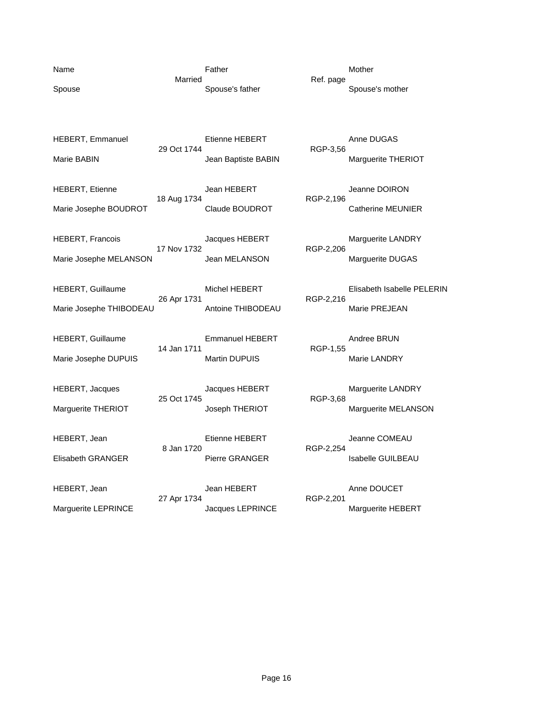| Name   |  |
|--------|--|
| Spouse |  |

Name **Name Father** Mother Mother Mother Married Ref. page

Spouse's father Spouse's mother

HEBERT, Emmanuel Etienne HEBERT Anne DUGAS<br>29 Oct 1744 RGP-3,56 29 Oct 1744 Marie BABIN Marie BABIN Marguerite THERIOT HEBERT, Etienne Jean HEBERT Jeanne DOIRON 18 Aug 1734<br>Claude BOUDROT Marie Josephe BOUDROT Claude BOUDROT Claude BOUDROT Catherine MEUNIER HEBERT, Francois **Marguerite LANDRY** Jacques HEBERT Marguerite LANDRY 17 Nov 1732 RGP-2,206 Marie Josephe MELANSON Jean MELANSON Marguerite DUGAS

26 Apr 1731 RGP-2,216 Marie Josephe THIBODEAU Antoine THIBODEAU Marie PREJEAN

HEBERT, Guillaume **Emmanuel HEBERT** Andree BRUN 14 Jan 1711 RGP-1,55 Marie Josephe DUPUIS Martin DUPUIS Marie LANDRY

HEBERT, Jacques **Marguerite LANDRY**<br>25 Oct 1745 RGP-3,68 25 Oct 1745<br>Joseph THERIOT

HEBERT, Jean **Example 20 For the HEBERT** FIEBERT All the United States of the HEBERT All the United States of the Etienne HEBERT 8 Jan 1720 RGP-2,254

HEBERT, Jean **Anne DOUCET**<br>27 Apr 1734 RGP-2.201 27 Apr 1734

HEBERT, Guillaume **Michel HEBERT** Elisabeth Isabelle PELERIN

Marguerite THERIOT **Marguerite THERIOT** Joseph THERIOT **Marguerite MELANSON** 

Elisabeth GRANGER **Pierre GRANGER** Pierre GRANGER Isabelle GUILBEAU

Marguerite LEPRINCE **All Strategies LEPRINCE** Marguerite HEBERT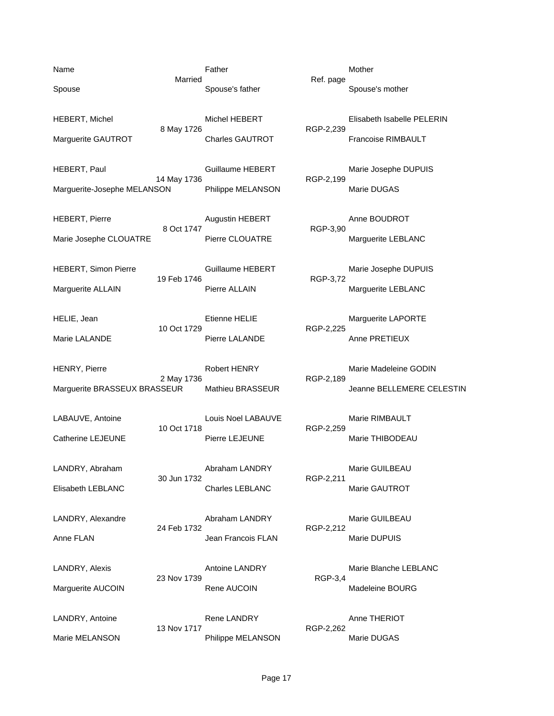Name **Name Father** Mother Mother Mother Married Ref. page Spouse Spouse's father Spouse's mother Spouse's mother Spouse's mother HEBERT, Michel **Elisabeth Isabelle PELERIN** Michel HEBERT **Elisabeth Isabelle PELERIN** 8 May 1726 **RGP-2,239** Marguerite GAUTROT Charles GAUTROT Francoise RIMBAULT HEBERT, Paul **Fraud Cuillaume HEBERT** Marie Josephe DUPUIS 14 May 1736 **RGP-2,199** Marguerite-Josephe MELANSON Philippe MELANSON Marie DUGAS HEBERT, Pierre **Augustin HEBERT** Anne BOUDROT 8 Oct 1747 RGP-3,90 Marie Josephe CLOUATRE Pierre CLOUATRE Marguerite LEBLANC HEBERT, Simon Pierre **Marie 19 Cuillaume HEBERT** Marie Josephe DUPUIS 19 Feb 1746 RGP-3,72 Marguerite ALLAIN **Pierre ALLAIN** Pierre ALLAIN Marguerite LEBLANC HELIE, Jean **Etienne HELIE** Marguerite LAPORTE<br>10 Oct 1729 RGP-2,225 10 Oct 1729 Marie LALANDE **Pierre LALANDE** Pierre LALANDE Anne PRETIEUX HENRY, Pierre **Marie Madeleine GODIN**<br>2 May 1736 **RGP-2,189** Marie Madeleine GODIN 2 May 1736 Marguerite BRASSEUX BRASSEUR Mathieu BRASSEUR Jeanne BELLEMERE CELESTIN LABAUVE, Antoine LOUIS Noel LABAUVE Marie RIMBAULT<br>10 Oct 1718 RGP-2.259 Catherine LEJEUNE Pierre LEJEUNE PHERE PRESENTED Marie THIBODEAU LANDRY, Abraham Abraham LANDRY Marie GUILBEAU 30 Jun 1732 RGP-2,211 Elisabeth LEBLANC Charles LEBLANC Marie GAUTROT LANDRY, Alexandre and Abraham LANDRY Marie GUILBEAU 24 Feb 1732 RGP-2,212 Anne FLAN **Anne FLAN** Jean Francois FLAN Marie DUPUIS LANDRY, Alexis **Marie Blanche LEBLANC** Antoine LANDRY Marie Blanche LEBLANC 23 Nov 1739 RGP-3.4 Marguerite AUCOIN **Rene AUCOIN** Rene AUCOIN Madeleine BOURG LANDRY, Antoine **Rene LANDRY CONSIDERIATE:** Rene LANDRY **Anne THERIOT** 13 Nov 1717 RGP-2,262 Marie MELANSON Philippe MELANSON Marie DUGAS

RGP-2,259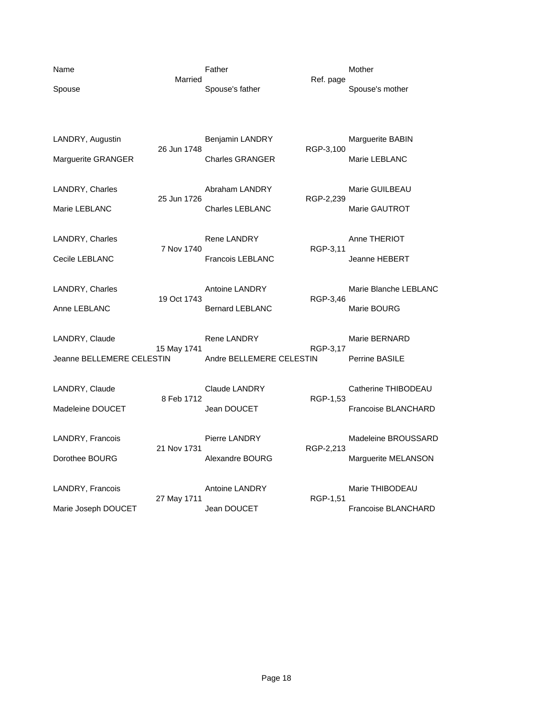| Name                                        |             | Father                                          |           | Mother                                     |
|---------------------------------------------|-------------|-------------------------------------------------|-----------|--------------------------------------------|
| Spouse                                      | Married     | Spouse's father                                 | Ref. page | Spouse's mother                            |
| LANDRY, Augustin<br>Marguerite GRANGER      | 26 Jun 1748 | Benjamin LANDRY<br><b>Charles GRANGER</b>       | RGP-3,100 | Marguerite BABIN<br>Marie LEBLANC          |
| LANDRY, Charles<br>Marie LEBLANC            | 25 Jun 1726 | Abraham LANDRY<br><b>Charles LEBLANC</b>        | RGP-2,239 | Marie GUILBEAU<br>Marie GAUTROT            |
| LANDRY, Charles<br>Cecile LEBLANC           | 7 Nov 1740  | <b>Rene LANDRY</b><br><b>Francois LEBLANC</b>   | RGP-3,11  | Anne THERIOT<br><b>Jeanne HEBERT</b>       |
| LANDRY, Charles<br>Anne LEBLANC             | 19 Oct 1743 | <b>Antoine LANDRY</b><br><b>Bernard LEBLANC</b> | RGP-3,46  | Marie Blanche LEBLANC<br>Marie BOURG       |
| LANDRY, Claude<br>Jeanne BELLEMERE CELESTIN | 15 May 1741 | <b>Rene LANDRY</b><br>Andre BELLEMERE CELESTIN  | RGP-3,17  | Marie BERNARD<br>Perrine BASILE            |
| LANDRY, Claude<br>Madeleine DOUCET          | 8 Feb 1712  | <b>Claude LANDRY</b><br>Jean DOUCET             | RGP-1,53  | Catherine THIBODEAU<br>Francoise BLANCHARD |
| LANDRY, Francois<br>Dorothee BOURG          | 21 Nov 1731 | Pierre LANDRY<br>Alexandre BOURG                | RGP-2,213 | Madeleine BROUSSARD<br>Marguerite MELANSON |
| LANDRY, Francois<br>Marie Joseph DOUCET     | 27 May 1711 | Antoine LANDRY<br>Jean DOUCET                   | RGP-1,51  | Marie THIBODEAU<br>Francoise BLANCHARD     |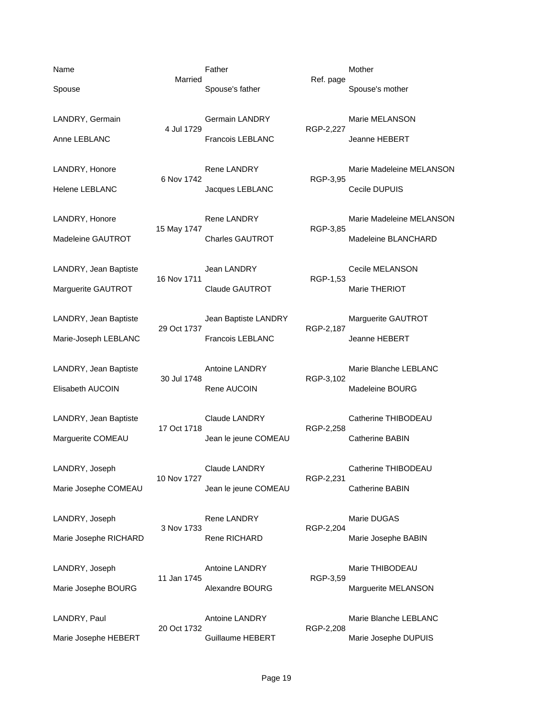Name **Name Father** Mother Mother Mother Married Ref. page

4 Jul 1729 RGP-2,227

6 Nov 1742 RGP-3,95 Helene LEBLANC Jacques LEBLANC Cecile DUPUIS

15 May 1747 **RGP-3,85** 

16 Nov 1711 RGP-1,53 Marguerite GAUTROT Claude GAUTROT Marie THERIOT

LANDRY, Jean Baptiste **Marguerite GAUTROT** Jean Baptiste LANDRY Marguerite GAUTROT 29 Oct 1737 RGP-2,187 Marie-Joseph LEBLANC Francois LEBLANC Francois LEBLANC Jeanne HEBERT

30 Jul 1748

17 Oct 1718 Marguerite COMEAU **Alta in the SABIN** Jean le jeune COMEAU **Catherine BABIN** 

10 Nov 1727 RGP-2,231 Marie Josephe COMEAU **Dean le jeune COMEAU** Catherine BABIN

LANDRY, Joseph Rene LANDRY Marie DUGAS 3 Nov 1733 RGP-2,204

11 Jan 1745 RGP-3,59

20 Oct 1732 RGP-2,208

Spouse Spouse's father Spouse's mother Spouse's mother Spouse's mother

LANDRY, Germain **Germain LANDRY** Marie MELANSON Anne LEBLANC Francois LEBLANC Jeanne HEBERT

LANDRY, Honore **Rene LANDRY** Marie Madeleine MELANSON

LANDRY, Honore **Rene LANDRY** Marie Madeleine MELANSON Madeleine GAUTROT Charles GAUTROT Madeleine BLANCHARD

LANDRY, Jean Baptiste Jean LANDRY Cecile MELANSON

LANDRY, Jean Baptiste **Antoine LANDRY** Marie Blanche LEBLANC<br>RGP-3,102 Elisabeth AUCOIN Rene AUCOIN Madeleine BOURG

LANDRY, Jean Baptiste **Claude LANDRY** Claude LANDRY Catherine THIBODEAU

LANDRY, Joseph Claude LANDRY Catherine THIBODEAU

Marie Josephe RICHARD **Rene RICHARD** Rene RICHARD Marie Josephe BABIN

LANDRY, Joseph **Antoine LANDRY** Marie THIBODEAU Marie Josephe BOURG **Alexandre BOURG** Marguerite MELANSON

LANDRY, Paul **Antoine LANDRY** Marie Blanche LEBLANC Marie Josephe HEBERT **Guillaume HEBERT** Marie Josephe DUPUIS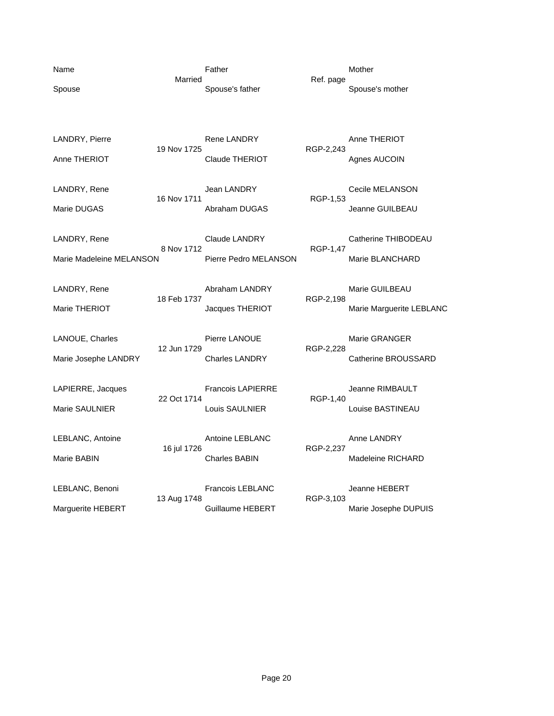| Name<br>Spouse                           | Married     | Father<br>Spouse's father                     | Ref. page | Mother<br>Spouse's mother                    |
|------------------------------------------|-------------|-----------------------------------------------|-----------|----------------------------------------------|
| LANDRY, Pierre<br>Anne THERIOT           | 19 Nov 1725 | Rene LANDRY<br><b>Claude THERIOT</b>          | RGP-2,243 | Anne THERIOT<br>Agnes AUCOIN                 |
| LANDRY, Rene<br>Marie DUGAS              | 16 Nov 1711 | Jean LANDRY<br>Abraham DUGAS                  | RGP-1,53  | Cecile MELANSON<br>Jeanne GUILBEAU           |
| LANDRY, Rene<br>Marie Madeleine MELANSON | 8 Nov 1712  | <b>Claude LANDRY</b><br>Pierre Pedro MELANSON | RGP-1,47  | Catherine THIBODEAU<br>Marie BLANCHARD       |
| LANDRY, Rene<br>Marie THERIOT            | 18 Feb 1737 | Abraham LANDRY<br>Jacques THERIOT             | RGP-2,198 | Marie GUILBEAU<br>Marie Marguerite LEBLANC   |
| LANOUE, Charles<br>Marie Josephe LANDRY  | 12 Jun 1729 | Pierre LANOUE<br><b>Charles LANDRY</b>        | RGP-2,228 | Marie GRANGER<br>Catherine BROUSSARD         |
| LAPIERRE, Jacques<br>Marie SAULNIER      | 22 Oct 1714 | <b>Francois LAPIERRE</b><br>Louis SAULNIER    | RGP-1,40  | Jeanne RIMBAULT<br>Louise BASTINEAU          |
| LEBLANC, Antoine<br>Marie BABIN          | 16 jul 1726 | Antoine LEBLANC<br><b>Charles BABIN</b>       | RGP-2,237 | Anne LANDRY<br>Madeleine RICHARD             |
| LEBLANC, Benoni<br>Marguerite HEBERT     | 13 Aug 1748 | Francois LEBLANC<br>Guillaume HEBERT          | RGP-3,103 | <b>Jeanne HEBERT</b><br>Marie Josephe DUPUIS |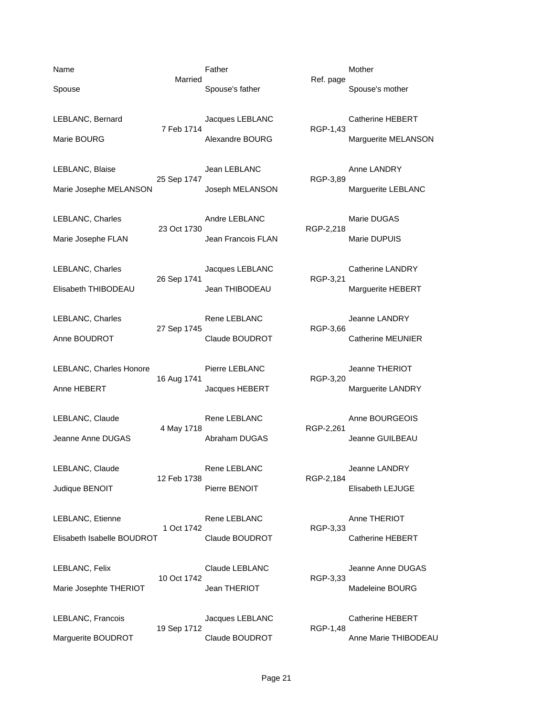Name **Name Father** Mother Mother Mother Married Ref. page Spouse Spouse's father Spouse's mother Spouse's mother Spouse's mother LEBLANC, Bernard **Cathering Catherine HEBERT** Jacques LEBLANC Catherine HEBERT 7 Feb 1714 RGP-1,43 Marie BOURG **Marie BOURG** Alexandre BOURG Marguerite MELANSON LEBLANC, Blaise Jean LEBLANC Anne LANDRY 25 Sep 1747 Marie Josephe MELANSON Joseph MELANSON Marguerite LEBLANC LEBLANC, Charles **Andre LEBLANC** Marie DUGAS 23 Oct 1730 RGP-2,218 Marie Josephe FLAN **Marie Josephe FLAN** Jean Francois FLAN Marie DUPUIS LEBLANC, Charles **Catherine LANDRY** Jacques LEBLANC Catherine LANDRY 26 Sep 1741 RGP-3,21 Elisabeth THIBODEAU Jean THIBODEAU Marguerite HEBERT LEBLANC, Charles **Rene LEBLANC** Jeanne LANDRY 27 Sep 1745 RGP-3,66 Anne BOUDROT Claude BOUDROT Claude BOUDROT Catherine MEUNIER LEBLANC, Charles Honore Pierre LEBLANC Jeanne THERIOT<br>16 Aug 1741 RGP-3,20 16 Aug 1741 Anne HEBERT **Anne HEBERT** Jacques HEBERT Marguerite LANDRY LEBLANC, Claude **Rene LEBLANC** Anne BOURGEOIS 4 May 1718 RGP-2,261 Jeanne Anne DUGAS Abraham DUGAS Jeanne GUILBEAU LEBLANC, Claude **Rene LEBLANC** Rene LEBLANC Jeanne LANDRY 12 Feb 1738 RGP-2,184 Judique BENOIT **Pierre BENOIT** Pierre BENOIT Elisabeth LEJUGE LEBLANC, Etienne **Rene LEBLANC** Anne THERIOT 1 Oct 1742 RGP-3,33 Elisabeth Isabelle BOUDROT Claude BOUDROT Catherine HEBERT LEBLANC, Felix Claude LEBLANC Jeanne Anne DUGAS 10 Oct 1742 RGP-3,33 Marie Josephte THERIOT 
and THERIOT State of the Madeleine BOURG LEBLANC, Francois Jacques LEBLANC Catherine HEBERT 19 Sep 1712 RGP-1,48 Marguerite BOUDROT Claude BOUDROT Anne Marie THIBODEAU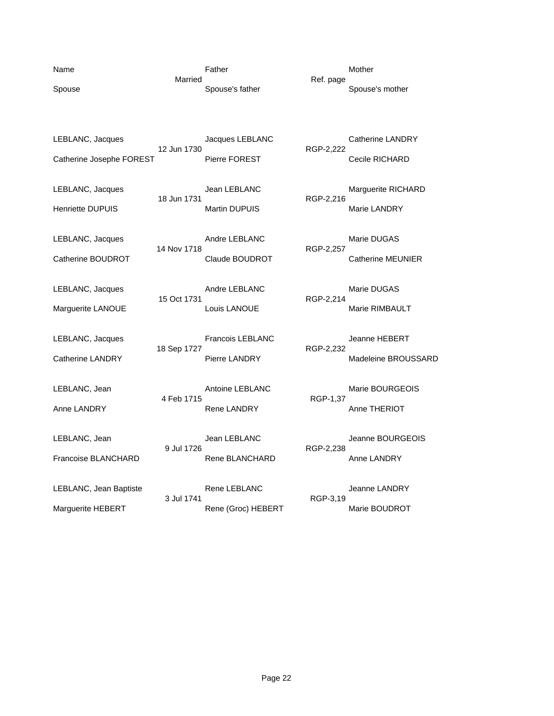| Name<br>Spouse                               | Married     | Father<br>Spouse's father                       | Ref. page | Mother<br>Spouse's mother                   |
|----------------------------------------------|-------------|-------------------------------------------------|-----------|---------------------------------------------|
| LEBLANC, Jacques<br>Catherine Josephe FOREST | 12 Jun 1730 | Jacques LEBLANC<br><b>Pierre FOREST</b>         | RGP-2,222 | <b>Catherine LANDRY</b><br>Cecile RICHARD   |
| LEBLANC, Jacques<br><b>Henriette DUPUIS</b>  | 18 Jun 1731 | Jean LEBLANC<br><b>Martin DUPUIS</b>            | RGP-2,216 | Marguerite RICHARD<br>Marie LANDRY          |
| LEBLANC, Jacques<br>Catherine BOUDROT        | 14 Nov 1718 | Andre LEBLANC<br>Claude BOUDROT                 | RGP-2,257 | Marie DUGAS<br><b>Catherine MEUNIER</b>     |
| LEBLANC, Jacques<br>Marguerite LANOUE        | 15 Oct 1731 | Andre LEBLANC<br>Louis LANOUE                   | RGP-2,214 | Marie DUGAS<br>Marie RIMBAULT               |
| LEBLANC, Jacques<br><b>Catherine LANDRY</b>  | 18 Sep 1727 | <b>Francois LEBLANC</b><br><b>Pierre LANDRY</b> | RGP-2,232 | <b>Jeanne HEBERT</b><br>Madeleine BROUSSARD |
| LEBLANC, Jean<br>Anne LANDRY                 | 4 Feb 1715  | Antoine LEBLANC<br><b>Rene LANDRY</b>           | RGP-1,37  | Marie BOURGEOIS<br>Anne THERIOT             |
| LEBLANC, Jean<br>Francoise BLANCHARD         | 9 Jul 1726  | Jean LEBLANC<br>Rene BLANCHARD                  | RGP-2,238 | Jeanne BOURGEOIS<br>Anne LANDRY             |
| LEBLANC, Jean Baptiste<br>Marguerite HEBERT  | 3 Jul 1741  | Rene LEBLANC<br>Rene (Groc) HEBERT              | RGP-3,19  | Jeanne LANDRY<br>Marie BOUDROT              |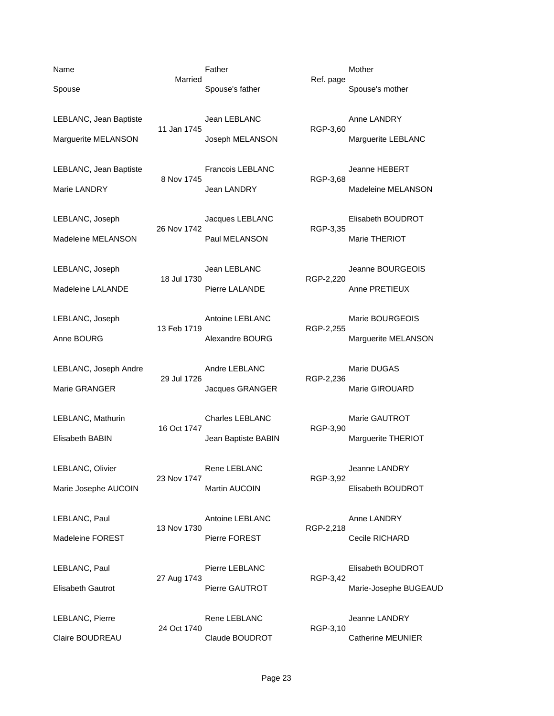LEBLANC, Jean Baptiste **Construction Construction Construction** Anne LANDRY

8 Nov 1745

29 Jul 1726

16 Oct 1747

23 Nov 1747

Name **Name Father** Mother Mother Mother Married Ref. page Spouse Spouse's father Spouse's mother Spouse's mother Spouse's mother

11 Jan 1745 RGP-3,60 Marguerite MELANSON **Marguerite LEBLANC** Joseph MELANSON Marguerite LEBLANC

LEBLANC, Jean Baptiste **Francois LEBLANC** Jeanne HEBERT<br>8 Nov 1745 RGP-3.68 Marie LANDRY **Marie LANDRY** Jean LANDRY **Marie MELANSON** 

LEBLANC, Joseph Jacques LEBLANC Elisabeth BOUDROT 26 Nov 1742 RGP-3,35 Madeleine MELANSON Paul MELANSON Marie THERIOT

LEBLANC, Joseph Jean LEBLANC Jeanne BOURGEOIS 18 Jul 1730 RGP-2,220 Madeleine LALANDE **Pierre LALANDE** Pierre LALANDE Anne PRETIEUX

LEBLANC, Joseph Antoine LEBLANC Marie BOURGEOIS 13 Feb 1719 RGP-2,255 Anne BOURG **Alexandre BOURG** Marguerite MELANSON

LEBLANC, Joseph Andre **Andre BEBLANC** Marie DUGAS<br>29 Jul 1726 RGP-2,236 Marie GRANGER **Jacques GRANGER** Marie GIROUARD

LEBLANC, Mathurin **Charles LEBLANC** Marie GAUTROT<br>16 Oct 1747 **COMPLE RANC ROUTROT** RGP-3,90 Elisabeth BABIN Jean Baptiste BABIN Marguerite THERIOT

LEBLANC, Olivier Rene LEBLANC BEREANC, Olivier Rene LEBLANC RGP-3,92 Marie Josephe AUCOIN Martin AUCOIN Marie Josephe AUCOIN

LEBLANC, Paul **Antoine LEBLANC** Anne LANDRY 13 Nov 1730 RGP-2,218 Madeleine FOREST Pierre FOREST Pierre FOREST Cecile RICHARD

LEBLANC, Paul **Pierre LEBLANC** Elisabeth BOUDROT 27 Aug 1743 RGP-3,42 Elisabeth Gautrot Pierre GAUTROT Marie-Josephe BUGEAUD

LEBLANC, Pierre **Rene LEBLANC** CHANDREY **CHANGE AREA** 24 Oct 1740 RGP-3,10 Claire BOUDREAU Claude BOUDROT Catherine MEUNIER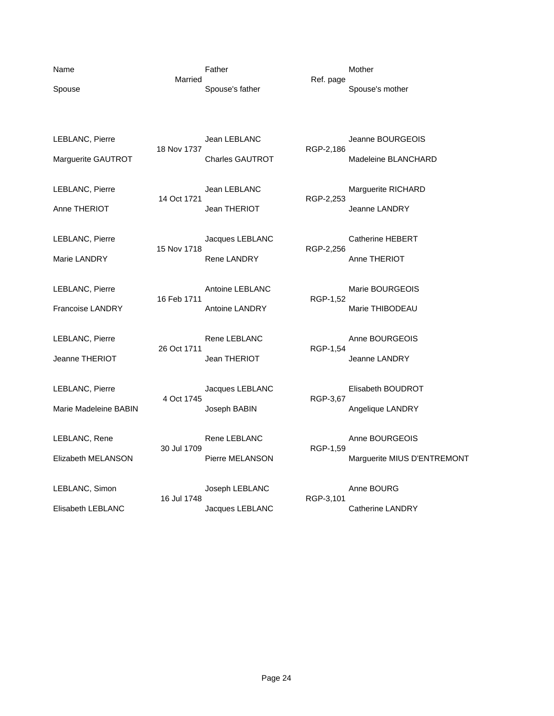| Name                  | Married     | Father                 | Ref. page | Mother                      |
|-----------------------|-------------|------------------------|-----------|-----------------------------|
| Spouse                |             | Spouse's father        |           | Spouse's mother             |
|                       |             |                        |           |                             |
| LEBLANC, Pierre       |             | Jean LEBLANC           |           | Jeanne BOURGEOIS            |
| Marguerite GAUTROT    | 18 Nov 1737 | <b>Charles GAUTROT</b> | RGP-2,186 | Madeleine BLANCHARD         |
| LEBLANC, Pierre       |             | Jean LEBLANC           |           | Marguerite RICHARD          |
| Anne THERIOT          | 14 Oct 1721 | Jean THERIOT           | RGP-2,253 | Jeanne LANDRY               |
| LEBLANC, Pierre       |             | Jacques LEBLANC        |           | <b>Catherine HEBERT</b>     |
| Marie LANDRY          | 15 Nov 1718 | <b>Rene LANDRY</b>     | RGP-2,256 | Anne THERIOT                |
| LEBLANC, Pierre       |             | Antoine LEBLANC        |           | Marie BOURGEOIS             |
| Francoise LANDRY      | 16 Feb 1711 | Antoine LANDRY         | RGP-1,52  | Marie THIBODEAU             |
| LEBLANC, Pierre       |             | Rene LEBLANC           |           | Anne BOURGEOIS              |
| Jeanne THERIOT        | 26 Oct 1711 | Jean THERIOT           | RGP-1,54  | Jeanne LANDRY               |
|                       |             |                        |           |                             |
| LEBLANC, Pierre       | 4 Oct 1745  | Jacques LEBLANC        | RGP-3,67  | Elisabeth BOUDROT           |
| Marie Madeleine BABIN |             | Joseph BABIN           |           | Angelique LANDRY            |
| LEBLANC, Rene         | 30 Jul 1709 | Rene LEBLANC           | RGP-1,59  | Anne BOURGEOIS              |
| Elizabeth MELANSON    |             | Pierre MELANSON        |           | Marguerite MIUS D'ENTREMONT |
| LEBLANC, Simon        |             | Joseph LEBLANC         |           | Anne BOURG                  |
| Elisabeth LEBLANC     | 16 Jul 1748 | Jacques LEBLANC        | RGP-3,101 | Catherine LANDRY            |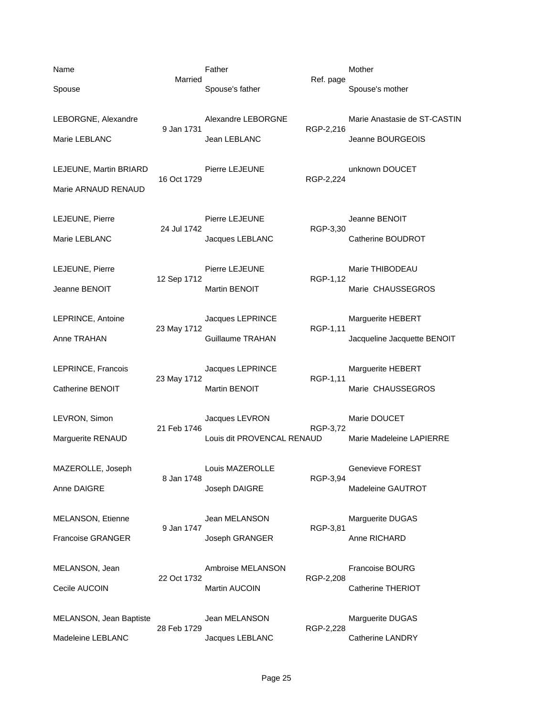| Name                                          |             | Father                                       |           | Mother                                           |
|-----------------------------------------------|-------------|----------------------------------------------|-----------|--------------------------------------------------|
| Spouse                                        | Married     | Spouse's father                              | Ref. page | Spouse's mother                                  |
| LEBORGNE, Alexandre                           | 9 Jan 1731  | Alexandre LEBORGNE                           | RGP-2,216 | Marie Anastasie de ST-CASTIN                     |
| Marie LEBLANC                                 |             | Jean LEBLANC                                 |           | Jeanne BOURGEOIS                                 |
| LEJEUNE, Martin BRIARD<br>Marie ARNAUD RENAUD | 16 Oct 1729 | Pierre LEJEUNE                               | RGP-2,224 | unknown DOUCET                                   |
| LEJEUNE, Pierre<br>Marie LEBLANC              | 24 Jul 1742 | Pierre LEJEUNE<br>Jacques LEBLANC            | RGP-3,30  | Jeanne BENOIT<br>Catherine BOUDROT               |
| LEJEUNE, Pierre<br>Jeanne BENOIT              | 12 Sep 1712 | Pierre LEJEUNE<br>Martin BENOIT              | RGP-1,12  | Marie THIBODEAU<br>Marie CHAUSSEGROS             |
| LEPRINCE, Antoine<br>Anne TRAHAN              | 23 May 1712 | Jacques LEPRINCE<br>Guillaume TRAHAN         | RGP-1,11  | Marguerite HEBERT<br>Jacqueline Jacquette BENOIT |
| LEPRINCE, Francois<br>Catherine BENOIT        | 23 May 1712 | Jacques LEPRINCE<br>Martin BENOIT            | RGP-1,11  | Marguerite HEBERT<br>Marie CHAUSSEGROS           |
| LEVRON, Simon<br>Marguerite RENAUD            | 21 Feb 1746 | Jacques LEVRON<br>Louis dit PROVENCAL RENAUD | RGP-3,72  | Marie DOUCET<br>Marie Madeleine LAPIERRE         |
| MAZEROLLE, Joseph<br>Anne DAIGRE              | 8 Jan 1748  | Louis MAZEROLLE<br>Joseph DAIGRE             | RGP-3,94  | Genevieve FOREST<br>Madeleine GAUTROT            |
| MELANSON, Etienne<br><b>Francoise GRANGER</b> | 9 Jan 1747  | Jean MELANSON<br>Joseph GRANGER              | RGP-3,81  | Marguerite DUGAS<br>Anne RICHARD                 |
| MELANSON, Jean<br>Cecile AUCOIN               | 22 Oct 1732 | Ambroise MELANSON<br>Martin AUCOIN           | RGP-2,208 | <b>Francoise BOURG</b><br>Catherine THERIOT      |
| MELANSON, Jean Baptiste<br>Madeleine LEBLANC  | 28 Feb 1729 | Jean MELANSON<br>Jacques LEBLANC             | RGP-2,228 | Marguerite DUGAS<br>Catherine LANDRY             |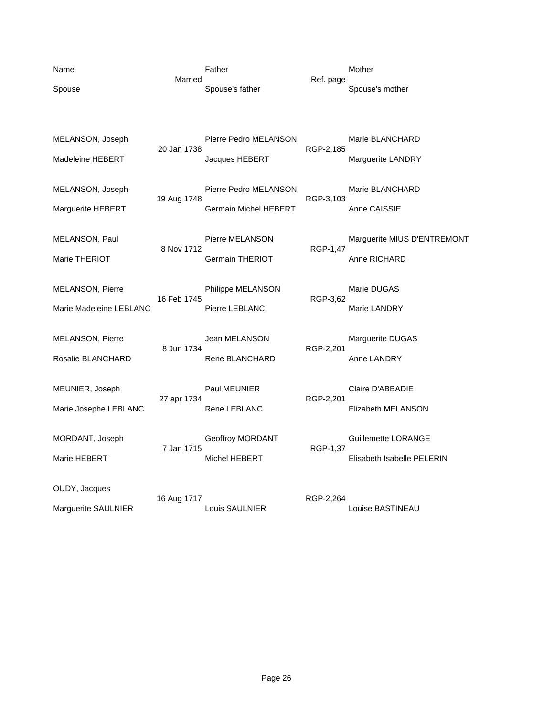| Name                    |             | Father                       |           | Mother                      |
|-------------------------|-------------|------------------------------|-----------|-----------------------------|
| Spouse                  | Married     | Spouse's father              | Ref. page | Spouse's mother             |
|                         |             |                              |           |                             |
| MELANSON, Joseph        |             | Pierre Pedro MELANSON        |           | Marie BLANCHARD             |
| Madeleine HEBERT        | 20 Jan 1738 | Jacques HEBERT               | RGP-2,185 | Marguerite LANDRY           |
| MELANSON, Joseph        | 19 Aug 1748 | Pierre Pedro MELANSON        | RGP-3,103 | Marie BLANCHARD             |
| Marguerite HEBERT       |             | <b>Germain Michel HEBERT</b> |           | Anne CAISSIE                |
| MELANSON, Paul          | 8 Nov 1712  | Pierre MELANSON              | RGP-1,47  | Marguerite MIUS D'ENTREMONT |
| Marie THERIOT           |             | <b>Germain THERIOT</b>       |           | Anne RICHARD                |
| <b>MELANSON, Pierre</b> | 16 Feb 1745 | Philippe MELANSON            | RGP-3,62  | Marie DUGAS                 |
| Marie Madeleine LEBLANC |             | Pierre LEBLANC               |           | Marie LANDRY                |
| <b>MELANSON, Pierre</b> | 8 Jun 1734  | Jean MELANSON                | RGP-2,201 | Marguerite DUGAS            |
| Rosalie BLANCHARD       |             | Rene BLANCHARD               |           | Anne LANDRY                 |
| MEUNIER, Joseph         | 27 apr 1734 | Paul MEUNIER                 | RGP-2,201 | Claire D'ABBADIE            |
| Marie Josephe LEBLANC   |             | Rene LEBLANC                 |           | Elizabeth MELANSON          |
| MORDANT, Joseph         | 7 Jan 1715  | Geoffroy MORDANT             | RGP-1,37  | Guillemette LORANGE         |
| Marie HEBERT            |             | Michel HEBERT                |           | Elisabeth Isabelle PELERIN  |
| OUDY, Jacques           | 16 Aug 1717 |                              | RGP-2,264 |                             |
| Marguerite SAULNIER     |             | Louis SAULNIER               |           | Louise BASTINEAU            |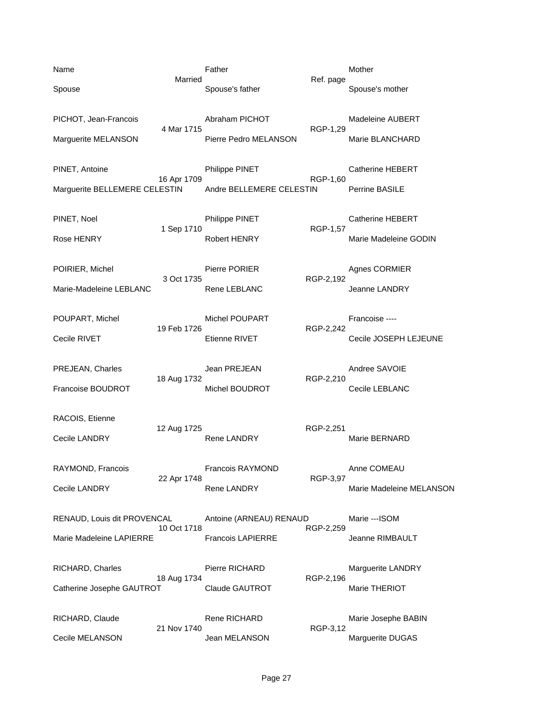| Name                          |             | Father                   |           | Mother                   |
|-------------------------------|-------------|--------------------------|-----------|--------------------------|
| Spouse                        | Married     | Spouse's father          | Ref. page | Spouse's mother          |
| PICHOT, Jean-Francois         | 4 Mar 1715  | Abraham PICHOT           |           | Madeleine AUBERT         |
| Marguerite MELANSON           |             | Pierre Pedro MELANSON    | RGP-1,29  | Marie BLANCHARD          |
| PINET, Antoine                |             | Philippe PINET           |           | <b>Catherine HEBERT</b>  |
| Marguerite BELLEMERE CELESTIN | 16 Apr 1709 | Andre BELLEMERE CELESTIN | RGP-1,60  | Perrine BASILE           |
| PINET, Noel                   |             | Philippe PINET           |           | <b>Catherine HEBERT</b>  |
| Rose HENRY                    | 1 Sep 1710  | <b>Robert HENRY</b>      | RGP-1,57  | Marie Madeleine GODIN    |
| POIRIER, Michel               |             | Pierre PORIER            |           | Agnes CORMIER            |
| Marie-Madeleine LEBLANC       | 3 Oct 1735  | Rene LEBLANC             | RGP-2,192 | Jeanne LANDRY            |
| POUPART, Michel               |             | Michel POUPART           |           | Francoise ----           |
| Cecile RIVET                  | 19 Feb 1726 | <b>Etienne RIVET</b>     | RGP-2,242 | Cecile JOSEPH LEJEUNE    |
| PREJEAN, Charles              |             | Jean PREJEAN             |           | Andree SAVOIE            |
| Francoise BOUDROT             | 18 Aug 1732 | Michel BOUDROT           | RGP-2,210 | Cecile LEBLANC           |
| RACOIS, Etienne               |             |                          |           |                          |
| Cecile LANDRY                 | 12 Aug 1725 | <b>Rene LANDRY</b>       | RGP-2,251 | Marie BERNARD            |
| RAYMOND, Francois             |             | Francois RAYMOND         |           | Anne COMEAU              |
| Cecile LANDRY                 | 22 Apr 1748 | <b>Rene LANDRY</b>       | RGP-3,97  | Marie Madeleine MELANSON |
| RENAUD, Louis dit PROVENCAL   |             | Antoine (ARNEAU) RENAUD  |           | Marie ---ISOM            |
| Marie Madeleine LAPIERRE      | 10 Oct 1718 | <b>Francois LAPIERRE</b> | RGP-2,259 | Jeanne RIMBAULT          |
| RICHARD, Charles              |             | Pierre RICHARD           |           | Marguerite LANDRY        |
| Catherine Josephe GAUTROT     | 18 Aug 1734 | Claude GAUTROT           | RGP-2,196 | Marie THERIOT            |
| RICHARD, Claude               |             | Rene RICHARD             |           | Marie Josephe BABIN      |
| Cecile MELANSON               | 21 Nov 1740 | Jean MELANSON            | RGP-3,12  | Marguerite DUGAS         |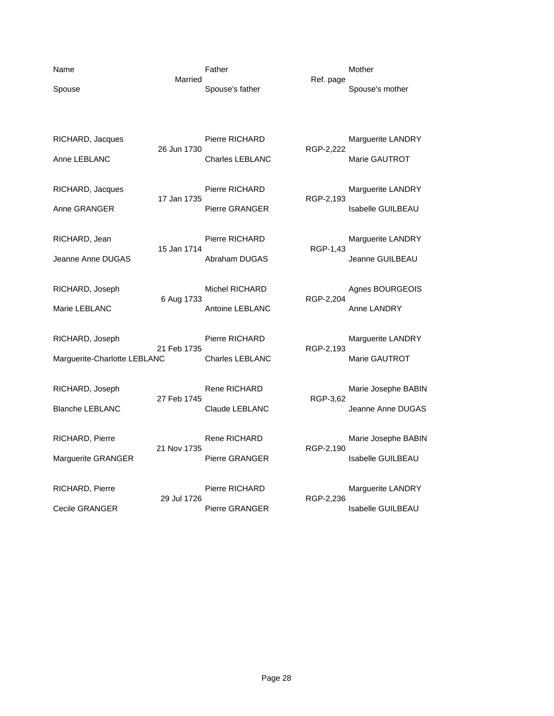Name **Name Father** Mother Mother Mother Married **Married** Ref. page

Spouse Spouse's father Spouse's mother Spouse's mother Spouse's mother

RICHARD, Jacques Pierre RICHARD Marguerite LANDRY 26 Jun 1730 RGP-2,222 Anne LEBLANC **Charles LEBLANC** Marie GAUTROT

RICHARD, Jacques Pierre RICHARD Marguerite LANDRY<br>17 Jan 1735 RGP-2,193 17 Jan 1735<br>Pierre GRANGER Anne GRANGER **Pierre GRANGER** Isabelle GUILBEAU

RICHARD, Jean Pierre RICHARD Marguerite LANDRY<br>15 Jan 1714 RGP-1.43 15 Jan 1714 Jeanne Anne DUGAS Abraham DUGAS Jeanne GUILBEAU

RICHARD, Joseph Michel RICHARD Agnes BOURGEOIS 6 Aug 1733 RGP-2,204

RICHARD, Joseph Pierre RICHARD Marguerite LANDRY 21 Feb 1735 RGP-2,193 Marguerite-Charlotte LEBLANC Charles LEBLANC Marie GAUTROT

RICHARD, Joseph **Richard Rene RICHARD** Marie Josephe BABIN 27 Feb 1745 RGP-3,62 Blanche LEBLANC Claude LEBLANC Jeanne Anne DUGAS

RICHARD, Pierre **Rene RICHARD** Marie Josephe BABIN 21 Nov 1735 RGP-2,190 Marguerite GRANGER **Pierre GRANGER** Pierre GRANGER Isabelle GUILBEAU

29 Jul 1726 RGP-2,236

Marie LEBLANC **Antoine LEBLANC** Anne LANDRY

RICHARD, Pierre **Pierre RICHARD** Marguerite LANDRY Cecile GRANGER Pierre GRANGER Isabelle GUILBEAU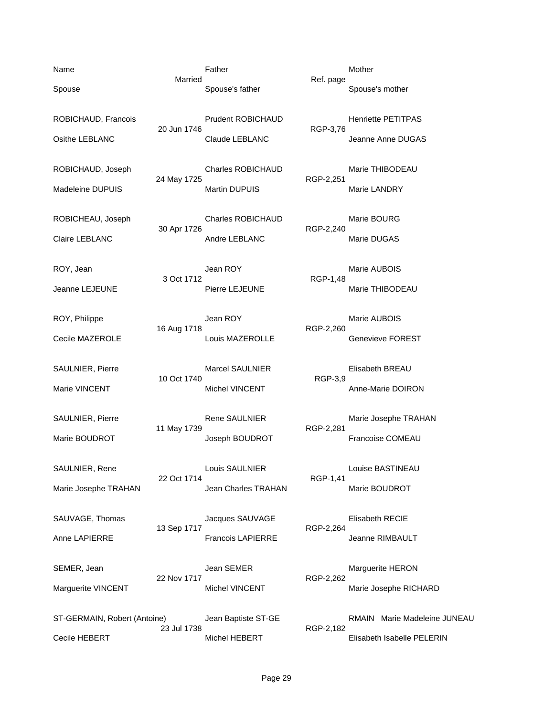ST-GERMAIN, Robert (Antoine) Jean Baptiste ST-GE RMAIN Marie Madeleine JUNEAU 23 Jul 1738 RGP-2,182 Cecile HEBERT Michel HEBERT Elisabeth Isabelle PELERIN

10 Oct 1740

22 Oct 1714

Name **Name Father** Mother Mother Mother Married Ref. page Spouse Spouse's father Spouse's mother Spouse's mother Spouse's mother

ROBICHAUD, Francois **Prudent ROBICHAUD** Henriette PETITPAS 20 Jun 1746 RGP-3,76 Osithe LEBLANC Claude LEBLANC Jeanne Anne DUGAS

ROBICHAUD, Joseph Charles ROBICHAUD Marie THIBODEAU 24 May 1725 RGP-2,251 Madeleine DUPUIS **Martin DUPUIS** Martin DUPUIS Martin DUPUIS

ROBICHEAU, Joseph Charles ROBICHAUD Marie BOURG 30 Apr 1726 RGP-2,240 Claire LEBLANC **Andre LEBLANC** Andre LEBLANC Marie DUGAS

ROY, Jean **Marie AUBOIS** Jean ROY **Marie AUBOIS** 3 Oct 1712 RGP-1,48 Jeanne LEJEUNE Pierre LEJEUNE Marie THIBODEAU

ROY, Philippe **Case Internal Seart Contract Contract Contract Contract Contract Contract Contract Contract Contract Contract Contract Contract Contract Contract Contract Contract Contract Contract Contract Contract Contrac** 16 Aug 1718 RGP-2,260 Cecile MAZEROLE Louis MAZEROLLE Genevieve FOREST

SAULNIER, Pierre Marcel SAULNIER Elisabeth BREAU<br>10 Oct 1740 RGP-3,9 Marie VINCENT **Michel VINCENT** Michel VINCENT Anne-Marie DOIRON

SAULNIER, Pierre **Rene SAULNIER Marie Josephe TRAHAN** 11 May 1739 RGP-2,281 Marie BOUDROT **Subsetime SOUDROT** Joseph BOUDROT **Francoise COMEAU** 

SAULNIER, Rene Louis SAULNIER<br>22 Oct 1714 RGP-1,41 Marie Josephe TRAHAN Jean Charles TRAHAN Marie BOUDROT

SAUVAGE, Thomas SAUVAGE Elisabeth RECIE 13 Sep 1717 RGP-2,264 Anne LAPIERRE Francois LAPIERRE Jeanne RIMBAULT

SEMER, Jean Marguerite HERON Jean SEMER Marguerite HERON 22 Nov 1717 RGP-2,262 Marguerite VINCENT Michel VINCENT Michel VINCENT Marie Josephe RICHARD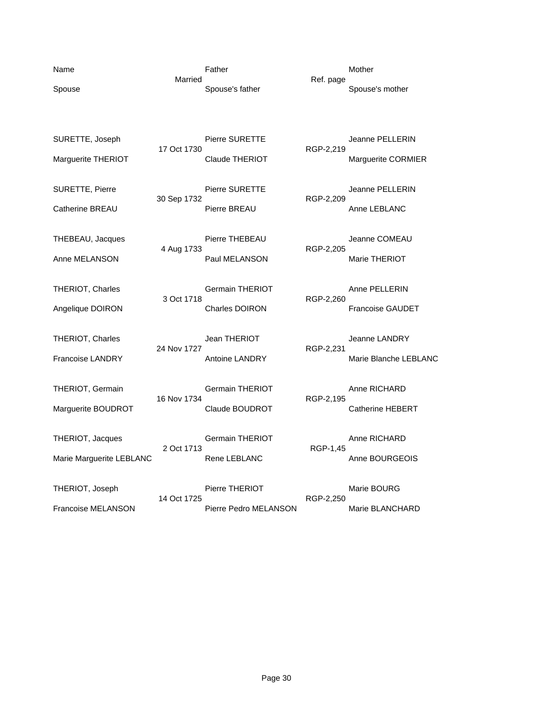| Name<br>Spouse                               | Married     | Father<br>Spouse's father                       | Ref. page | Mother<br>Spouse's mother                     |
|----------------------------------------------|-------------|-------------------------------------------------|-----------|-----------------------------------------------|
| SURETTE, Joseph<br>Marguerite THERIOT        | 17 Oct 1730 | Pierre SURETTE<br><b>Claude THERIOT</b>         | RGP-2,219 | Jeanne PELLERIN<br>Marguerite CORMIER         |
| <b>SURETTE, Pierre</b><br>Catherine BREAU    | 30 Sep 1732 | <b>Pierre SURETTE</b><br>Pierre BREAU           | RGP-2,209 | <b>Jeanne PELLERIN</b><br>Anne LEBLANC        |
| THEBEAU, Jacques<br>Anne MELANSON            | 4 Aug 1733  | Pierre THEBEAU<br>Paul MELANSON                 | RGP-2,205 | Jeanne COMEAU<br>Marie THERIOT                |
| THERIOT, Charles<br>Angelique DOIRON         | 3 Oct 1718  | <b>Germain THERIOT</b><br><b>Charles DOIRON</b> | RGP-2,260 | Anne PELLERIN<br><b>Francoise GAUDET</b>      |
| THERIOT, Charles<br><b>Francoise LANDRY</b>  | 24 Nov 1727 | Jean THERIOT<br><b>Antoine LANDRY</b>           | RGP-2,231 | <b>Jeanne LANDRY</b><br>Marie Blanche LEBLANC |
| THERIOT, Germain<br>Marguerite BOUDROT       | 16 Nov 1734 | <b>Germain THERIOT</b><br>Claude BOUDROT        | RGP-2,195 | Anne RICHARD<br><b>Catherine HEBERT</b>       |
| THERIOT, Jacques<br>Marie Marguerite LEBLANC | 2 Oct 1713  | Germain THERIOT<br><b>Rene LEBLANC</b>          | RGP-1,45  | Anne RICHARD<br>Anne BOURGEOIS                |
| THERIOT, Joseph<br><b>Francoise MELANSON</b> | 14 Oct 1725 | Pierre THERIOT<br>Pierre Pedro MELANSON         | RGP-2,250 | Marie BOURG<br>Marie BLANCHARD                |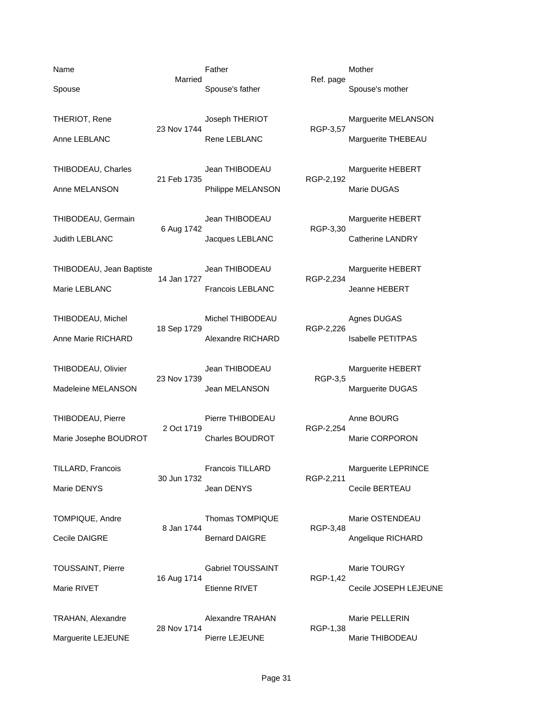Name **Name Father** Mother Mother Mother Married Ref. page Spouse Spouse's father Spouse's mother Spouse's mother Spouse's mother THERIOT, Rene **Marguerite MELANSON** Joseph THERIOT **Marguerite MELANSON** 23 Nov 1744 RGP-3,57 Anne LEBLANC **Rene LEBLANC** Marguerite THEBEAU THIBODEAU, Charles **1998** Jean THIBODEAU Marguerite HEBERT<br>21 Feb 1735 RGP-2.192 21 Feb 1735 Anne MELANSON **Philippe MELANSON** Marie DUGAS THIBODEAU, Germain Jean THIBODEAU Marguerite HEBERT 6 Aug 1742 RGP-3,30 Judith LEBLANC **CALLANC** Jacques LEBLANC **Catherine LANDRY** THIBODEAU, Jean Baptiste Jean THIBODEAU Marguerite HEBERT 14 Jan 1727 RGP-2,234 Marie LEBLANC Francois LEBLANC Jeanne HEBERT THIBODEAU, Michel **Michel THIBODEAU** Agnes DUGAS 18 Sep 1729 RGP-2,226 Anne Marie RICHARD **Alexandre RICHARD** Isabelle PETITPAS THIBODEAU, Olivier Jean THIBODEAU Marguerite HEBERT<br>23 Nov 1739 RGP-3,5 23 Nov 1739 Madeleine MELANSON **Madeleine MELANSON** Jean MELANSON Marguerite DUGAS THIBODEAU, Pierre **Pierre Pierre THIBODEAU** Anne BOURG<br>2 Oct 1719 RGP-2.254 Marie Josephe BOUDROT Charles BOUDROT Charles TO Marie CORPORON TILLARD, Francois Francois TILLARD Marguerite LEPRINCE 30 Jun 1732 RGP-2,211 Marie DENYS Cecile BERTEAU TOMPIQUE, Andre Thomas TOMPIQUE Marie OSTENDEAU 8 Jan 1744 RGP-3,48 Cecile DAIGRE **Bernard DAIGRE Bernard DAIGRE** Angelique RICHARD TOUSSAINT, Pierre **Carlie Constructs Cabriel TOUSSAINT** Marie TOURGY 16 Aug 1714 RGP-1,42 Marie RIVET THE RIVET Etienne RIVET The Cecile JOSEPH LEJEUNE TRAHAN, Alexandre **Alexandre TRAHAN** Marie PELLERIN 28 Nov 1714 RGP-1,38 Marguerite LEJEUNE Pierre LEJEUNE PHOTOS Marie THIBODEAU

RGP-2,254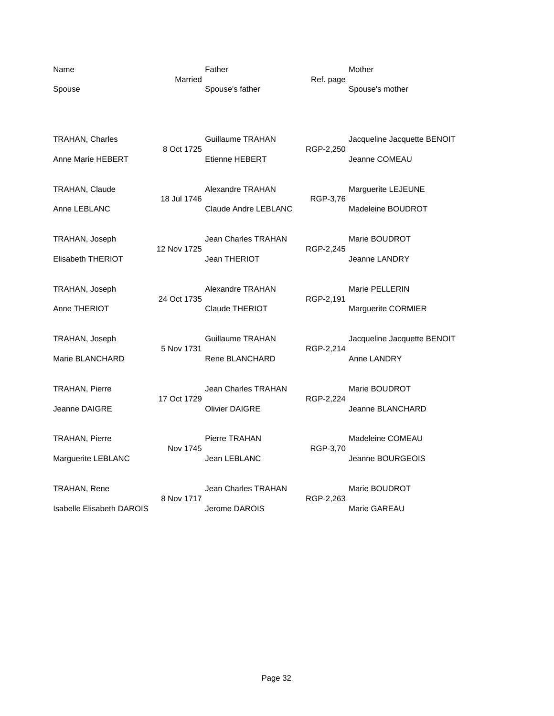| Name                             | Married     | Father                      |           | Mother                      |
|----------------------------------|-------------|-----------------------------|-----------|-----------------------------|
| Spouse                           |             | Spouse's father             | Ref. page | Spouse's mother             |
|                                  |             |                             |           |                             |
|                                  |             |                             |           |                             |
| TRAHAN, Charles                  | 8 Oct 1725  | Guillaume TRAHAN            | RGP-2,250 | Jacqueline Jacquette BENOIT |
| Anne Marie HEBERT                |             | Etienne HEBERT              |           | Jeanne COMEAU               |
|                                  |             |                             |           |                             |
| TRAHAN, Claude                   | 18 Jul 1746 | <b>Alexandre TRAHAN</b>     | RGP-3,76  | Marguerite LEJEUNE          |
| Anne LEBLANC                     |             | <b>Claude Andre LEBLANC</b> |           | Madeleine BOUDROT           |
| TRAHAN, Joseph                   |             | Jean Charles TRAHAN         |           | Marie BOUDROT               |
|                                  | 12 Nov 1725 |                             | RGP-2,245 |                             |
| Elisabeth THERIOT                |             | Jean THERIOT                |           | Jeanne LANDRY               |
| TRAHAN, Joseph                   |             | <b>Alexandre TRAHAN</b>     |           | Marie PELLERIN              |
| Anne THERIOT                     | 24 Oct 1735 | <b>Claude THERIOT</b>       | RGP-2,191 | Marguerite CORMIER          |
|                                  |             |                             |           |                             |
| TRAHAN, Joseph                   | 5 Nov 1731  | Guillaume TRAHAN            | RGP-2,214 | Jacqueline Jacquette BENOIT |
| Marie BLANCHARD                  |             | Rene BLANCHARD              |           | Anne LANDRY                 |
|                                  |             |                             |           |                             |
| TRAHAN, Pierre                   | 17 Oct 1729 | <b>Jean Charles TRAHAN</b>  | RGP-2,224 | Marie BOUDROT               |
| Jeanne DAIGRE                    |             | <b>Olivier DAIGRE</b>       |           | Jeanne BLANCHARD            |
|                                  |             |                             |           |                             |
| TRAHAN, Pierre                   | Nov 1745    | Pierre TRAHAN               | RGP-3,70  | Madeleine COMEAU            |
| Marguerite LEBLANC               |             | Jean LEBLANC                |           | Jeanne BOURGEOIS            |
| TRAHAN, Rene                     |             | <b>Jean Charles TRAHAN</b>  |           | Marie BOUDROT               |
|                                  | 8 Nov 1717  |                             | RGP-2,263 |                             |
| <b>Isabelle Elisabeth DAROIS</b> |             | Jerome DAROIS               |           | Marie GAREAU                |